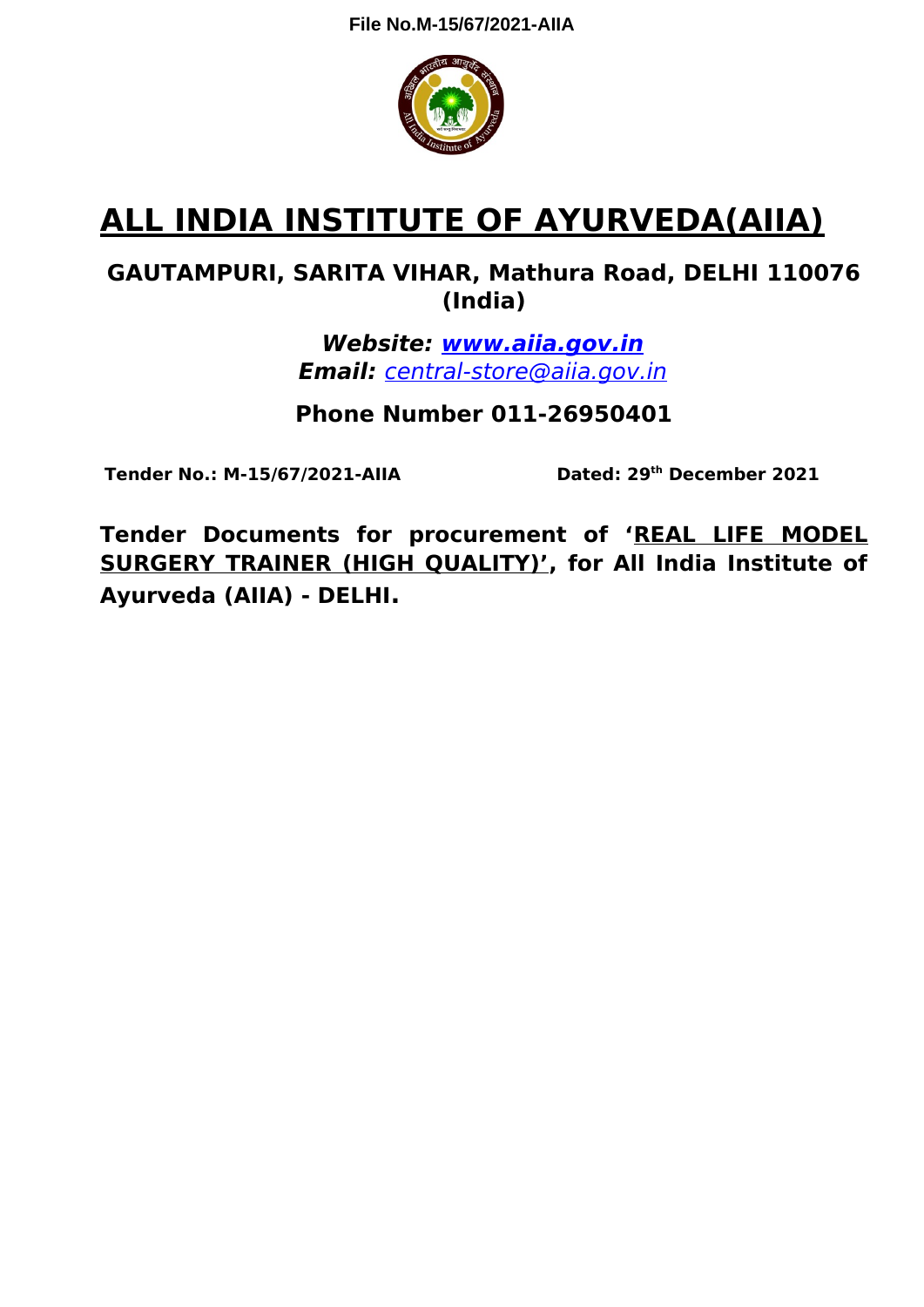

# **ALL INDIA INSTITUTE OF AYURVEDA(AIIA)**

# **GAUTAMPURI, SARITA VIHAR, Mathura Road, DELHI 110076 (India)**

**Website: www.aiia.gov.in Email:** [central-store@aiia.gov.in](mailto:central-store@aiia.gov.in)

# **Phone Number 011-26950401**

**Tender No.: M-15/67/2021-AIIA Dated: 29th December 2021**

**Tender Documents for procurement of 'REAL LIFE MODEL SURGERY TRAINER (HIGH QUALITY)', for All India Institute of Ayurveda (AIIA) - DELHI.**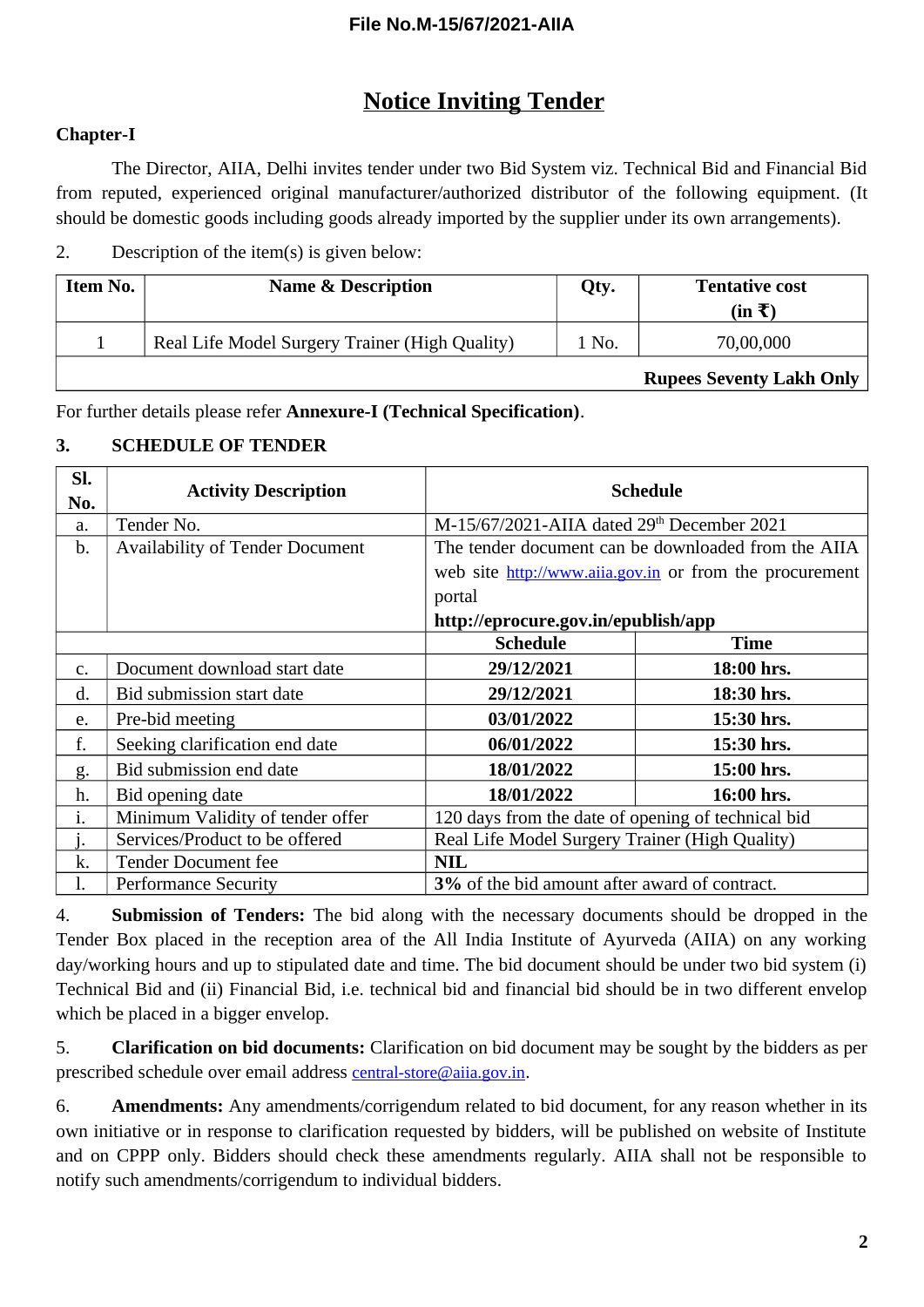# **Notice Inviting Tender**

# **Chapter-I**

The Director, AIIA, Delhi invites tender under two Bid System viz. Technical Bid and Financial Bid from reputed, experienced original manufacturer/authorized distributor of the following equipment. (It should be domestic goods including goods already imported by the supplier under its own arrangements).

2. Description of the item(s) is given below:

| <b>Item No.</b> | <b>Name &amp; Description</b>                  | Qty.  | <b>Tentative cost</b>           |
|-----------------|------------------------------------------------|-------|---------------------------------|
|                 |                                                |       | (in ₹)                          |
|                 | Real Life Model Surgery Trainer (High Quality) | 1 No. | 70,00,000                       |
|                 |                                                |       | <b>Rupees Seventy Lakh Only</b> |

For further details please refer **Annexure-I (Technical Specification)**.

#### **3. SCHEDULE OF TENDER**

| SI.<br>No.    | <b>Activity Description</b>            | <b>Schedule</b>                                    |                                                         |  |
|---------------|----------------------------------------|----------------------------------------------------|---------------------------------------------------------|--|
| a.            | Tender No.                             | $M-15/67/2021-AlIA$ dated $29th$ December 2021     |                                                         |  |
| b.            | <b>Availability of Tender Document</b> |                                                    | The tender document can be downloaded from the AIIA     |  |
|               |                                        |                                                    | web site http://www.aiia.gov.in or from the procurement |  |
|               |                                        | portal                                             |                                                         |  |
|               |                                        | http://eprocure.gov.in/epublish/app                |                                                         |  |
|               |                                        | <b>Schedule</b>                                    | <b>Time</b>                                             |  |
| $C_{\bullet}$ | Document download start date           | 29/12/2021                                         | 18:00 hrs.                                              |  |
| d.            | Bid submission start date              | 29/12/2021                                         | 18:30 hrs.                                              |  |
| e.            | Pre-bid meeting                        | 03/01/2022                                         | 15:30 hrs.                                              |  |
| f.            | Seeking clarification end date         | 06/01/2022                                         | 15:30 hrs.                                              |  |
| g.            | Bid submission end date                | 18/01/2022                                         | 15:00 hrs.                                              |  |
| h.            | Bid opening date                       | 18/01/2022                                         | $16:00$ hrs.                                            |  |
| ı.            | Minimum Validity of tender offer       | 120 days from the date of opening of technical bid |                                                         |  |
|               | Services/Product to be offered         | Real Life Model Surgery Trainer (High Quality)     |                                                         |  |
| k.            | Tender Document fee                    | <b>NIL</b>                                         |                                                         |  |
|               | <b>Performance Security</b>            | 3% of the bid amount after award of contract.      |                                                         |  |

4. **Submission of Tenders:** The bid along with the necessary documents should be dropped in the Tender Box placed in the reception area of the All India Institute of Ayurveda (AIIA) on any working day/working hours and up to stipulated date and time. The bid document should be under two bid system (i) Technical Bid and (ii) Financial Bid, i.e. technical bid and financial bid should be in two different envelop which be placed in a bigger envelop.

5. **Clarification on bid documents:** Clarification on bid document may be sought by the bidders as per prescribed schedule over email address [central-store@aiia.gov.in](mailto:central-store@aiia.gov.in).

6. **Amendments:** Any amendments/corrigendum related to bid document, for any reason whether in its own initiative or in response to clarification requested by bidders, will be published on website of Institute and on CPPP only. Bidders should check these amendments regularly. AIIA shall not be responsible to notify such amendments/corrigendum to individual bidders.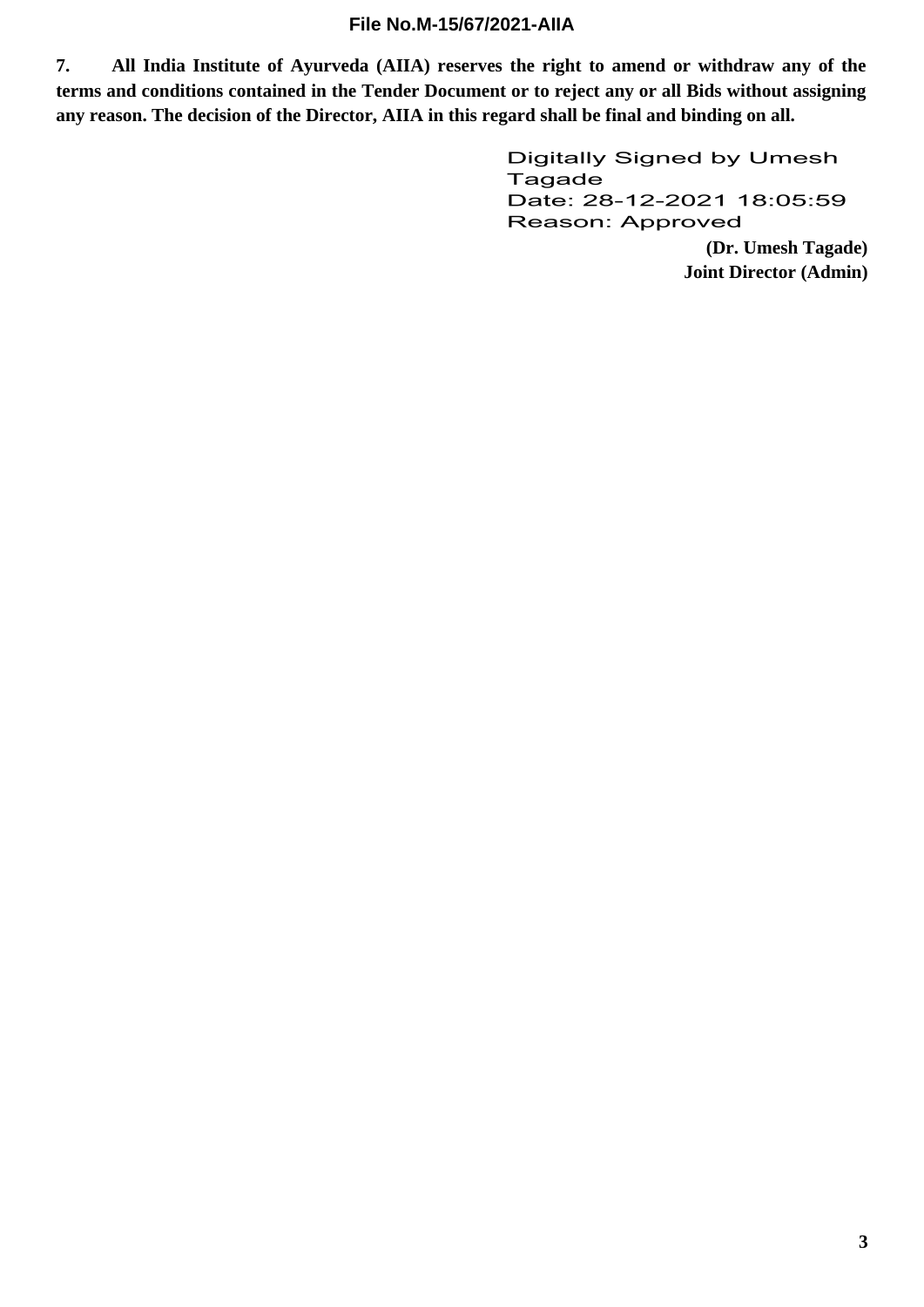**7. All India Institute of Ayurveda (AIIA) reserves the right to amend or withdraw any of the terms and conditions contained in the Tender Document or to reject any or all Bids without assigning any reason. The decision of the Director, AIIA in this regard shall be final and binding on all.**

> **Digitally Signed by Umesh** Tagade Date: 28-12-2021 18:05:59 Reason: Approved **(Dr. Umesh Tagade)**

**Joint Director (Admin)**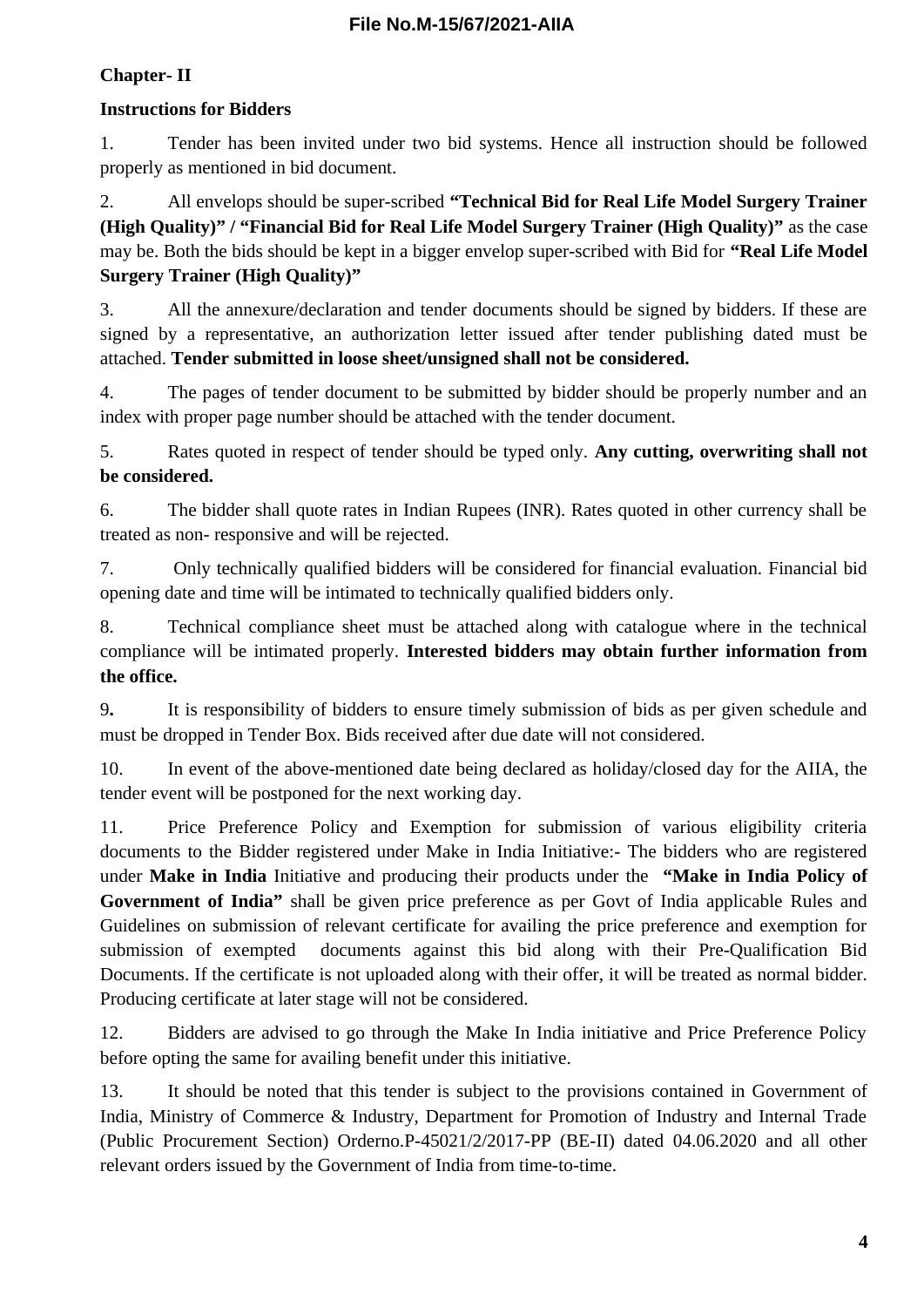# **Chapter- II**

# **Instructions for Bidders**

1. Tender has been invited under two bid systems. Hence all instruction should be followed properly as mentioned in bid document.

2. All envelops should be super-scribed **"Technical Bid for Real Life Model Surgery Trainer (High Quality)" / "Financial Bid for Real Life Model Surgery Trainer (High Quality)"** as the case may be. Both the bids should be kept in a bigger envelop super-scribed with Bid for **"Real Life Model Surgery Trainer (High Quality)"**

3. All the annexure/declaration and tender documents should be signed by bidders. If these are signed by a representative, an authorization letter issued after tender publishing dated must be attached. **Tender submitted in loose sheet/unsigned shall not be considered.**

4. The pages of tender document to be submitted by bidder should be properly number and an index with proper page number should be attached with the tender document.

5. Rates quoted in respect of tender should be typed only. **Any cutting, overwriting shall not be considered.**

6. The bidder shall quote rates in Indian Rupees (INR). Rates quoted in other currency shall be treated as non- responsive and will be rejected.

7. Only technically qualified bidders will be considered for financial evaluation. Financial bid opening date and time will be intimated to technically qualified bidders only.

8. Technical compliance sheet must be attached along with catalogue where in the technical compliance will be intimated properly. **Interested bidders may obtain further information from the office.**

9**.** It is responsibility of bidders to ensure timely submission of bids as per given schedule and must be dropped in Tender Box. Bids received after due date will not considered.

10. In event of the above-mentioned date being declared as holiday/closed day for the AIIA, the tender event will be postponed for the next working day.

11. Price Preference Policy and Exemption for submission of various eligibility criteria documents to the Bidder registered under Make in India Initiative:- The bidders who are registered under **Make in India** Initiative and producing their products under the **"Make in India Policy of Government of India"** shall be given price preference as per Govt of India applicable Rules and Guidelines on submission of relevant certificate for availing the price preference and exemption for submission of exempted documents against this bid along with their Pre-Qualification Bid Documents. If the certificate is not uploaded along with their offer, it will be treated as normal bidder. Producing certificate at later stage will not be considered.

12. Bidders are advised to go through the Make In India initiative and Price Preference Policy before opting the same for availing benefit under this initiative.

13. It should be noted that this tender is subject to the provisions contained in Government of India, Ministry of Commerce & Industry, Department for Promotion of Industry and Internal Trade (Public Procurement Section) Orderno.P-45021/2/2017-PP (BE-II) dated 04.06.2020 and all other relevant orders issued by the Government of India from time-to-time.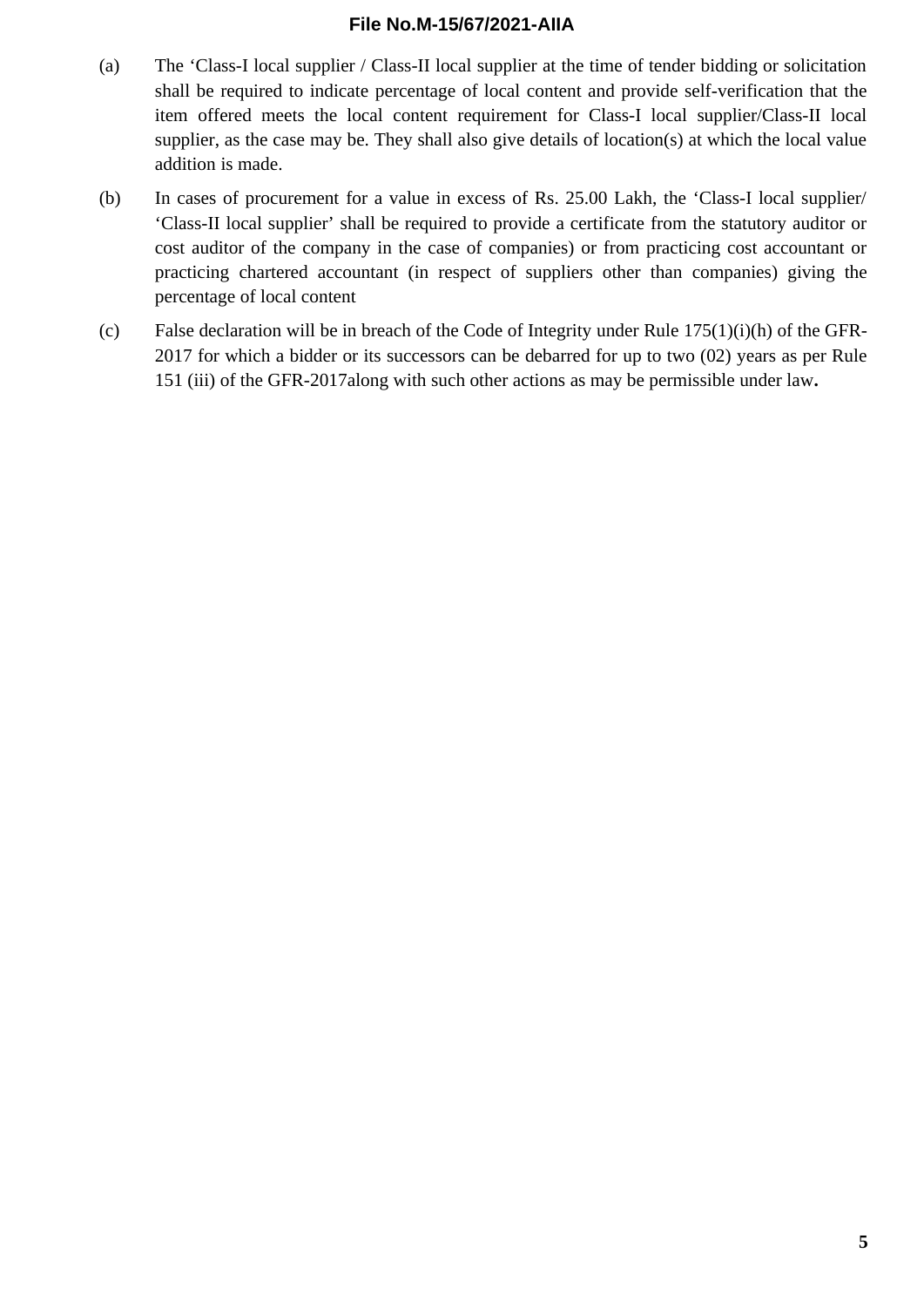- (a) The 'Class-I local supplier / Class-II local supplier at the time of tender bidding or solicitation shall be required to indicate percentage of local content and provide self-verification that the item offered meets the local content requirement for Class-I local supplier/Class-II local supplier, as the case may be. They shall also give details of location(s) at which the local value addition is made.
- (b) In cases of procurement for a value in excess of Rs. 25.00 Lakh, the 'Class-I local supplier/ 'Class-II local supplier' shall be required to provide a certificate from the statutory auditor or cost auditor of the company in the case of companies) or from practicing cost accountant or practicing chartered accountant (in respect of suppliers other than companies) giving the percentage of local content
- (c) False declaration will be in breach of the Code of Integrity under Rule 175(1)(i)(h) of the GFR-2017 for which a bidder or its successors can be debarred for up to two (02) years as per Rule 151 (iii) of the GFR-2017along with such other actions as may be permissible under law**.**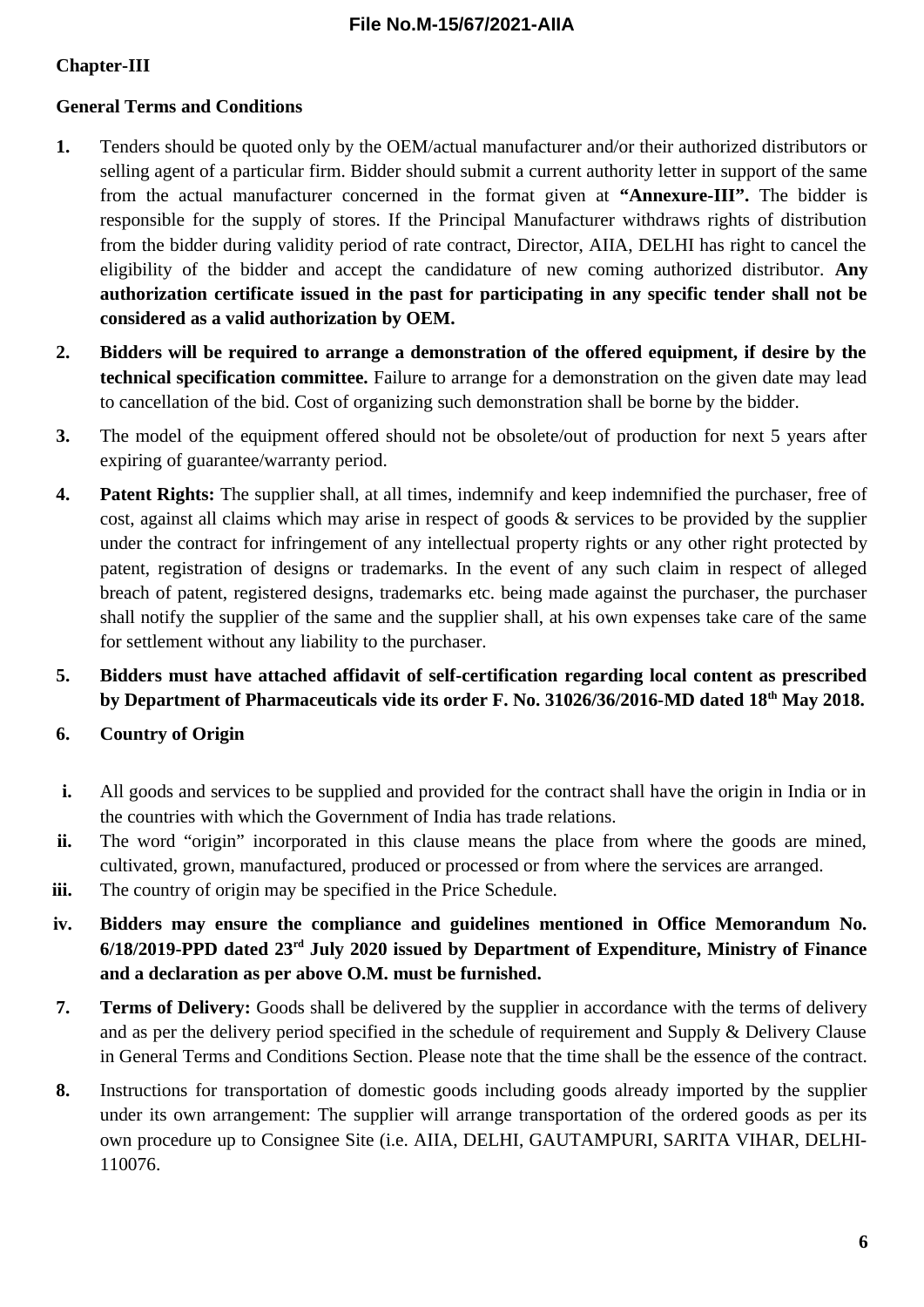### **Chapter-III**

#### **General Terms and Conditions**

- **1.** Tenders should be quoted only by the OEM/actual manufacturer and/or their authorized distributors or selling agent of a particular firm. Bidder should submit a current authority letter in support of the same from the actual manufacturer concerned in the format given at **"Annexure-III".** The bidder is responsible for the supply of stores. If the Principal Manufacturer withdraws rights of distribution from the bidder during validity period of rate contract, Director, AIIA, DELHI has right to cancel the eligibility of the bidder and accept the candidature of new coming authorized distributor. **Any authorization certificate issued in the past for participating in any specific tender shall not be considered as a valid authorization by OEM.**
- **2. Bidders will be required to arrange a demonstration of the offered equipment, if desire by the technical specification committee.** Failure to arrange for a demonstration on the given date may lead to cancellation of the bid. Cost of organizing such demonstration shall be borne by the bidder.
- **3.** The model of the equipment offered should not be obsolete/out of production for next 5 years after expiring of guarantee/warranty period.
- **4. Patent Rights:** The supplier shall, at all times, indemnify and keep indemnified the purchaser, free of cost, against all claims which may arise in respect of goods & services to be provided by the supplier under the contract for infringement of any intellectual property rights or any other right protected by patent, registration of designs or trademarks. In the event of any such claim in respect of alleged breach of patent, registered designs, trademarks etc. being made against the purchaser, the purchaser shall notify the supplier of the same and the supplier shall, at his own expenses take care of the same for settlement without any liability to the purchaser.
- **5. Bidders must have attached affidavit of self-certification regarding local content as prescribed by Department of Pharmaceuticals vide its order F. No. 31026/36/2016-MD dated 18th May 2018.**

# **6. Country of Origin**

- **i.** All goods and services to be supplied and provided for the contract shall have the origin in India or in the countries with which the Government of India has trade relations.
- **ii.** The word "origin" incorporated in this clause means the place from where the goods are mined, cultivated, grown, manufactured, produced or processed or from where the services are arranged.
- iii. The country of origin may be specified in the Price Schedule.
- **iv. Bidders may ensure the compliance and guidelines mentioned in Office Memorandum No. 6/18/2019-PPD dated 23rd July 2020 issued by Department of Expenditure, Ministry of Finance and a declaration as per above O.M. must be furnished.**
- **7. Terms of Delivery:** Goods shall be delivered by the supplier in accordance with the terms of delivery and as per the delivery period specified in the schedule of requirement and Supply & Delivery Clause in General Terms and Conditions Section. Please note that the time shall be the essence of the contract.
- **8.** Instructions for transportation of domestic goods including goods already imported by the supplier under its own arrangement: The supplier will arrange transportation of the ordered goods as per its own procedure up to Consignee Site (i.e. AIIA, DELHI, GAUTAMPURI, SARITA VIHAR, DELHI-110076.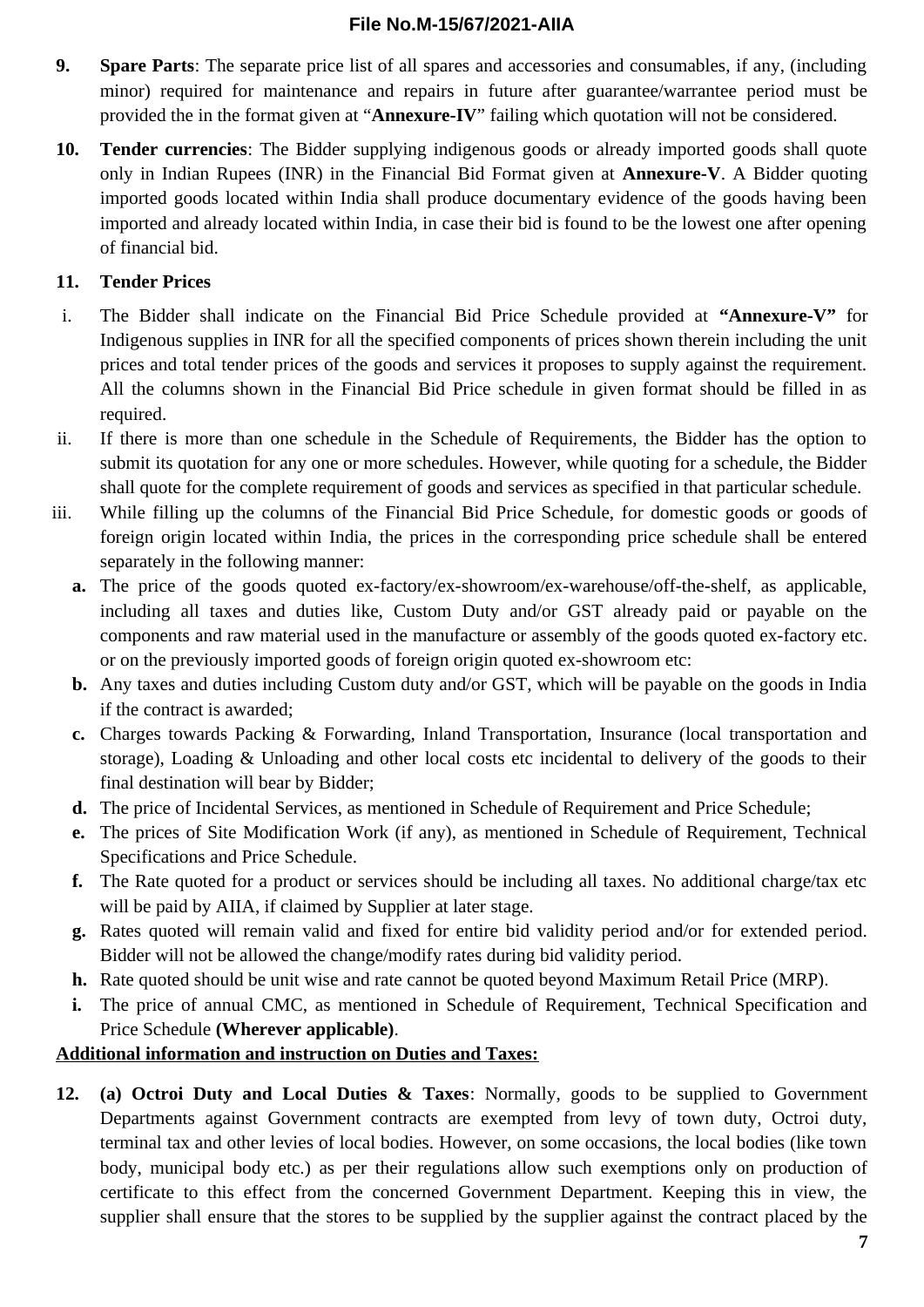- **9. Spare Parts**: The separate price list of all spares and accessories and consumables, if any, (including minor) required for maintenance and repairs in future after guarantee/warrantee period must be provided the in the format given at "**Annexure-IV**" failing which quotation will not be considered.
- **10. Tender currencies**: The Bidder supplying indigenous goods or already imported goods shall quote only in Indian Rupees (INR) in the Financial Bid Format given at **Annexure-V**. A Bidder quoting imported goods located within India shall produce documentary evidence of the goods having been imported and already located within India, in case their bid is found to be the lowest one after opening of financial bid.

# **11. Tender Prices**

- i. The Bidder shall indicate on the Financial Bid Price Schedule provided at **"Annexure-V"** for Indigenous supplies in INR for all the specified components of prices shown therein including the unit prices and total tender prices of the goods and services it proposes to supply against the requirement. All the columns shown in the Financial Bid Price schedule in given format should be filled in as required.
- ii. If there is more than one schedule in the Schedule of Requirements, the Bidder has the option to submit its quotation for any one or more schedules. However, while quoting for a schedule, the Bidder shall quote for the complete requirement of goods and services as specified in that particular schedule.
- iii. While filling up the columns of the Financial Bid Price Schedule, for domestic goods or goods of foreign origin located within India, the prices in the corresponding price schedule shall be entered separately in the following manner:
	- **a.** The price of the goods quoted ex-factory/ex-showroom/ex-warehouse/off-the-shelf, as applicable, including all taxes and duties like, Custom Duty and/or GST already paid or payable on the components and raw material used in the manufacture or assembly of the goods quoted ex-factory etc. or on the previously imported goods of foreign origin quoted ex-showroom etc:
	- **b.** Any taxes and duties including Custom duty and/or GST, which will be payable on the goods in India if the contract is awarded;
	- **c.** Charges towards Packing & Forwarding, Inland Transportation, Insurance (local transportation and storage), Loading & Unloading and other local costs etc incidental to delivery of the goods to their final destination will bear by Bidder;
	- **d.** The price of Incidental Services, as mentioned in Schedule of Requirement and Price Schedule;
	- **e.** The prices of Site Modification Work (if any), as mentioned in Schedule of Requirement, Technical Specifications and Price Schedule.
	- **f.** The Rate quoted for a product or services should be including all taxes. No additional charge/tax etc will be paid by AIIA, if claimed by Supplier at later stage.
	- **g.** Rates quoted will remain valid and fixed for entire bid validity period and/or for extended period. Bidder will not be allowed the change/modify rates during bid validity period.
	- **h.** Rate quoted should be unit wise and rate cannot be quoted beyond Maximum Retail Price (MRP).
	- **i.** The price of annual CMC, as mentioned in Schedule of Requirement, Technical Specification and Price Schedule **(Wherever applicable)**.

# **Additional information and instruction on Duties and Taxes:**

**12. (a) Octroi Duty and Local Duties & Taxes**: Normally, goods to be supplied to Government Departments against Government contracts are exempted from levy of town duty, Octroi duty, terminal tax and other levies of local bodies. However, on some occasions, the local bodies (like town body, municipal body etc.) as per their regulations allow such exemptions only on production of certificate to this effect from the concerned Government Department. Keeping this in view, the supplier shall ensure that the stores to be supplied by the supplier against the contract placed by the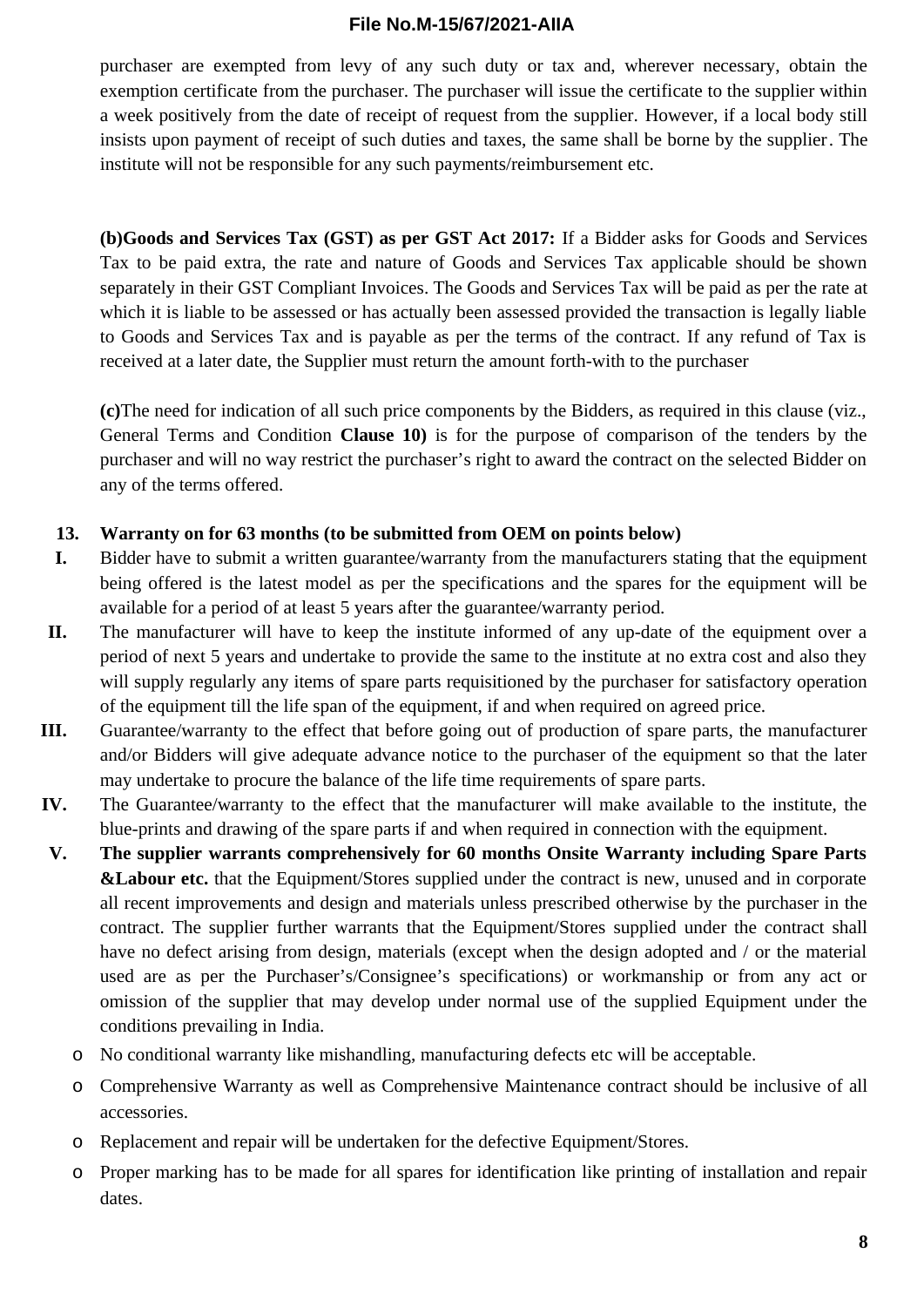purchaser are exempted from levy of any such duty or tax and, wherever necessary, obtain the exemption certificate from the purchaser. The purchaser will issue the certificate to the supplier within a week positively from the date of receipt of request from the supplier. However, if a local body still insists upon payment of receipt of such duties and taxes, the same shall be borne by the supplier. The institute will not be responsible for any such payments/reimbursement etc.

**(b)Goods and Services Tax (GST) as per GST Act 2017:** If a Bidder asks for Goods and Services Tax to be paid extra, the rate and nature of Goods and Services Tax applicable should be shown separately in their GST Compliant Invoices. The Goods and Services Tax will be paid as per the rate at which it is liable to be assessed or has actually been assessed provided the transaction is legally liable to Goods and Services Tax and is payable as per the terms of the contract. If any refund of Tax is received at a later date, the Supplier must return the amount forth-with to the purchaser

**(c)**The need for indication of all such price components by the Bidders, as required in this clause (viz., General Terms and Condition **Clause 10)** is for the purpose of comparison of the tenders by the purchaser and will no way restrict the purchaser's right to award the contract on the selected Bidder on any of the terms offered.

#### **13. Warranty on for 63 months (to be submitted from OEM on points below)**

- **I.** Bidder have to submit a written guarantee/warranty from the manufacturers stating that the equipment being offered is the latest model as per the specifications and the spares for the equipment will be available for a period of at least 5 years after the guarantee/warranty period.
- **II.** The manufacturer will have to keep the institute informed of any up-date of the equipment over a period of next 5 years and undertake to provide the same to the institute at no extra cost and also they will supply regularly any items of spare parts requisitioned by the purchaser for satisfactory operation of the equipment till the life span of the equipment, if and when required on agreed price.
- **III.** Guarantee/warranty to the effect that before going out of production of spare parts, the manufacturer and/or Bidders will give adequate advance notice to the purchaser of the equipment so that the later may undertake to procure the balance of the life time requirements of spare parts.
- **IV.** The Guarantee/warranty to the effect that the manufacturer will make available to the institute, the blue-prints and drawing of the spare parts if and when required in connection with the equipment.
- **V. The supplier warrants comprehensively for 60 months Onsite Warranty including Spare Parts &Labour etc.** that the Equipment/Stores supplied under the contract is new, unused and in corporate all recent improvements and design and materials unless prescribed otherwise by the purchaser in the contract. The supplier further warrants that the Equipment/Stores supplied under the contract shall have no defect arising from design, materials (except when the design adopted and / or the material used are as per the Purchaser's/Consignee's specifications) or workmanship or from any act or omission of the supplier that may develop under normal use of the supplied Equipment under the conditions prevailing in India.
	- o No conditional warranty like mishandling, manufacturing defects etc will be acceptable.
	- o Comprehensive Warranty as well as Comprehensive Maintenance contract should be inclusive of all accessories.
	- o Replacement and repair will be undertaken for the defective Equipment/Stores.
	- o Proper marking has to be made for all spares for identification like printing of installation and repair dates.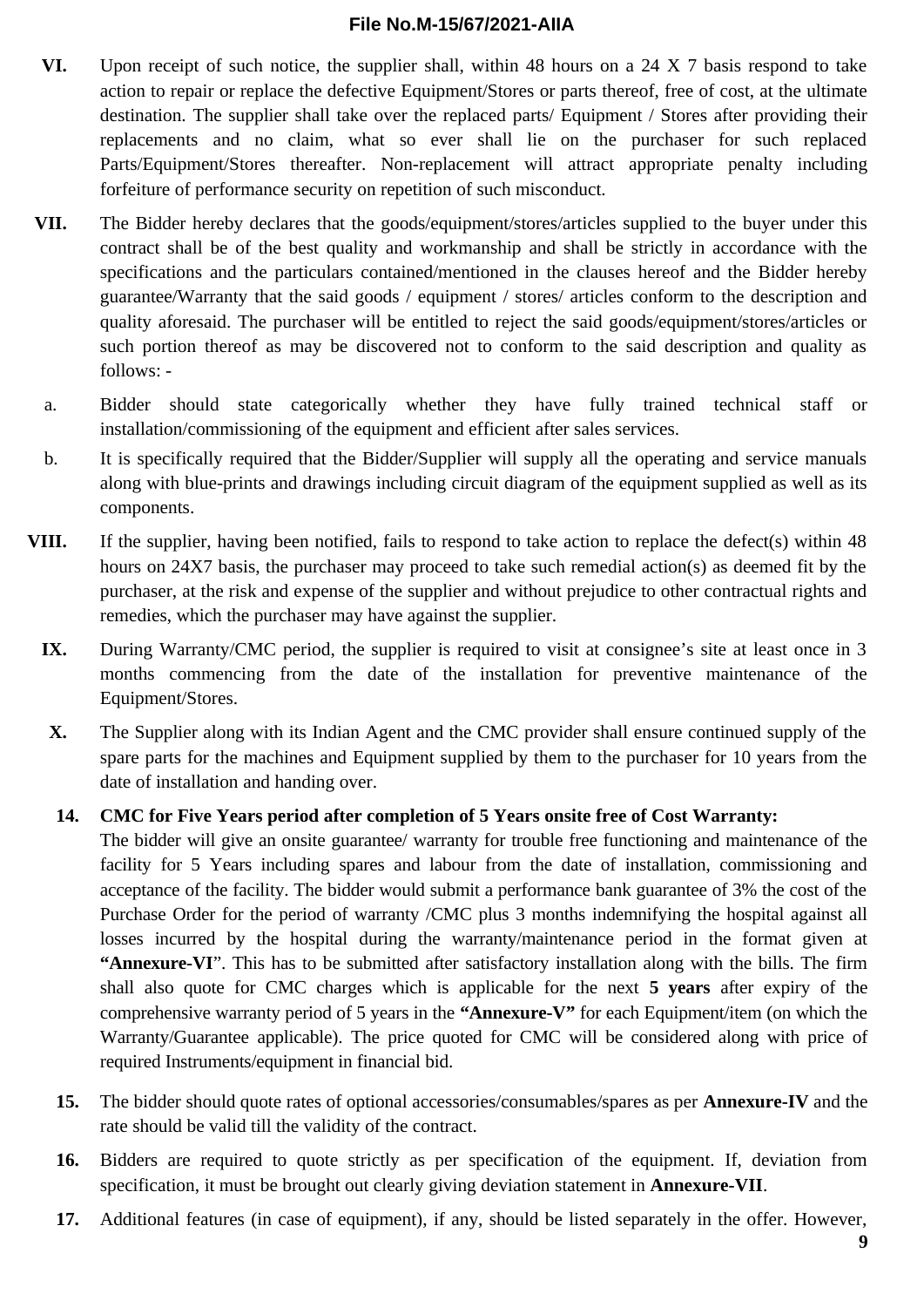- **VI.** Upon receipt of such notice, the supplier shall, within 48 hours on a 24 X 7 basis respond to take action to repair or replace the defective Equipment/Stores or parts thereof, free of cost, at the ultimate destination. The supplier shall take over the replaced parts/ Equipment / Stores after providing their replacements and no claim, what so ever shall lie on the purchaser for such replaced Parts/Equipment/Stores thereafter. Non-replacement will attract appropriate penalty including forfeiture of performance security on repetition of such misconduct.
- **VII.** The Bidder hereby declares that the goods/equipment/stores/articles supplied to the buyer under this contract shall be of the best quality and workmanship and shall be strictly in accordance with the specifications and the particulars contained/mentioned in the clauses hereof and the Bidder hereby guarantee/Warranty that the said goods / equipment / stores/ articles conform to the description and quality aforesaid. The purchaser will be entitled to reject the said goods/equipment/stores/articles or such portion thereof as may be discovered not to conform to the said description and quality as follows: -
- a. Bidder should state categorically whether they have fully trained technical staff or installation/commissioning of the equipment and efficient after sales services.
- b. It is specifically required that the Bidder/Supplier will supply all the operating and service manuals along with blue-prints and drawings including circuit diagram of the equipment supplied as well as its components.
- **VIII.** If the supplier, having been notified, fails to respond to take action to replace the defect(s) within 48 hours on 24X7 basis, the purchaser may proceed to take such remedial action(s) as deemed fit by the purchaser, at the risk and expense of the supplier and without prejudice to other contractual rights and remedies, which the purchaser may have against the supplier.
	- **IX.** During Warranty/CMC period, the supplier is required to visit at consignee's site at least once in 3 months commencing from the date of the installation for preventive maintenance of the Equipment/Stores.
	- **X.** The Supplier along with its Indian Agent and the CMC provider shall ensure continued supply of the spare parts for the machines and Equipment supplied by them to the purchaser for 10 years from the date of installation and handing over.

#### **14. CMC for Five Years period after completion of 5 Years onsite free of Cost Warranty:**

The bidder will give an onsite guarantee/ warranty for trouble free functioning and maintenance of the facility for 5 Years including spares and labour from the date of installation, commissioning and acceptance of the facility. The bidder would submit a performance bank guarantee of 3% the cost of the Purchase Order for the period of warranty /CMC plus 3 months indemnifying the hospital against all losses incurred by the hospital during the warranty/maintenance period in the format given at **"Annexure-VI**". This has to be submitted after satisfactory installation along with the bills. The firm shall also quote for CMC charges which is applicable for the next **5 years** after expiry of the comprehensive warranty period of 5 years in the **"Annexure-V"** for each Equipment/item (on which the Warranty/Guarantee applicable). The price quoted for CMC will be considered along with price of required Instruments/equipment in financial bid.

- **15.** The bidder should quote rates of optional accessories/consumables/spares as per **Annexure-IV** and the rate should be valid till the validity of the contract.
- **16.** Bidders are required to quote strictly as per specification of the equipment. If, deviation from specification, it must be brought out clearly giving deviation statement in **Annexure-VII**.
- **17.** Additional features (in case of equipment), if any, should be listed separately in the offer. However,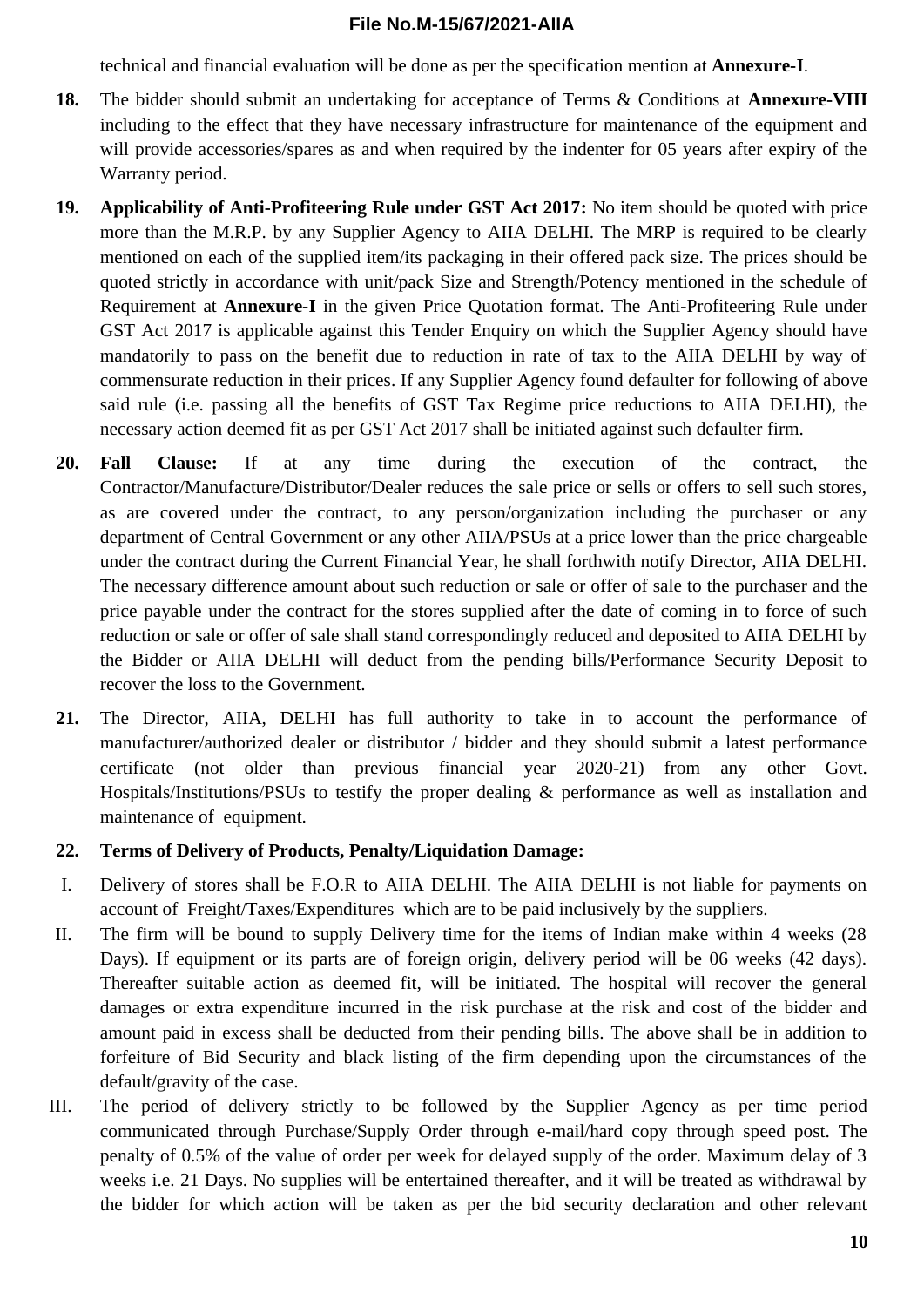technical and financial evaluation will be done as per the specification mention at **Annexure-I**.

- **18.** The bidder should submit an undertaking for acceptance of Terms & Conditions at **Annexure-VIII** including to the effect that they have necessary infrastructure for maintenance of the equipment and will provide accessories/spares as and when required by the indenter for 05 years after expiry of the Warranty period.
- **19. Applicability of Anti-Profiteering Rule under GST Act 2017:** No item should be quoted with price more than the M.R.P. by any Supplier Agency to AIIA DELHI. The MRP is required to be clearly mentioned on each of the supplied item/its packaging in their offered pack size. The prices should be quoted strictly in accordance with unit/pack Size and Strength/Potency mentioned in the schedule of Requirement at **Annexure-I** in the given Price Quotation format. The Anti-Profiteering Rule under GST Act 2017 is applicable against this Tender Enquiry on which the Supplier Agency should have mandatorily to pass on the benefit due to reduction in rate of tax to the AIIA DELHI by way of commensurate reduction in their prices. If any Supplier Agency found defaulter for following of above said rule (i.e. passing all the benefits of GST Tax Regime price reductions to AIIA DELHI), the necessary action deemed fit as per GST Act 2017 shall be initiated against such defaulter firm.
- **20. Fall Clause:** If at any time during the execution of the contract, the Contractor/Manufacture/Distributor/Dealer reduces the sale price or sells or offers to sell such stores, as are covered under the contract, to any person/organization including the purchaser or any department of Central Government or any other AIIA/PSUs at a price lower than the price chargeable under the contract during the Current Financial Year, he shall forthwith notify Director, AIIA DELHI. The necessary difference amount about such reduction or sale or offer of sale to the purchaser and the price payable under the contract for the stores supplied after the date of coming in to force of such reduction or sale or offer of sale shall stand correspondingly reduced and deposited to AIIA DELHI by the Bidder or AIIA DELHI will deduct from the pending bills/Performance Security Deposit to recover the loss to the Government.
- **21.** The Director, AIIA, DELHI has full authority to take in to account the performance of manufacturer/authorized dealer or distributor / bidder and they should submit a latest performance certificate (not older than previous financial year 2020-21) from any other Govt. Hospitals/Institutions/PSUs to testify the proper dealing & performance as well as installation and maintenance of equipment.

#### **22. Terms of Delivery of Products, Penalty/Liquidation Damage:**

- I. Delivery of stores shall be F.O.R to AIIA DELHI. The AIIA DELHI is not liable for payments on account of Freight/Taxes/Expenditures which are to be paid inclusively by the suppliers.
- II. The firm will be bound to supply Delivery time for the items of Indian make within 4 weeks (28 Days). If equipment or its parts are of foreign origin, delivery period will be 06 weeks (42 days). Thereafter suitable action as deemed fit, will be initiated. The hospital will recover the general damages or extra expenditure incurred in the risk purchase at the risk and cost of the bidder and amount paid in excess shall be deducted from their pending bills. The above shall be in addition to forfeiture of Bid Security and black listing of the firm depending upon the circumstances of the default/gravity of the case.
- III. The period of delivery strictly to be followed by the Supplier Agency as per time period communicated through Purchase/Supply Order through e-mail/hard copy through speed post. The penalty of 0.5% of the value of order per week for delayed supply of the order. Maximum delay of 3 weeks i.e. 21 Days. No supplies will be entertained thereafter, and it will be treated as withdrawal by the bidder for which action will be taken as per the bid security declaration and other relevant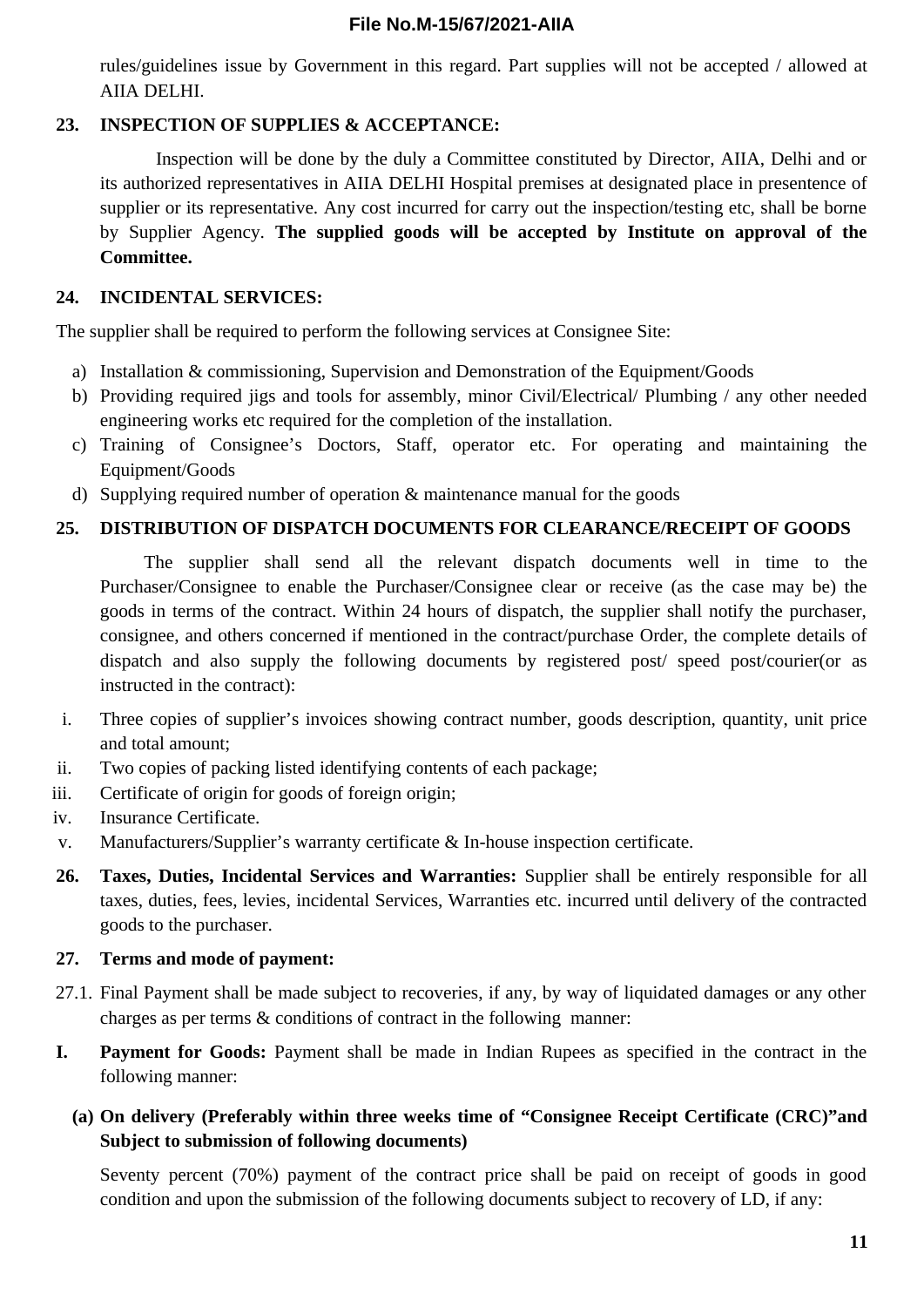rules/guidelines issue by Government in this regard. Part supplies will not be accepted / allowed at AIIA DELHI.

# **23. INSPECTION OF SUPPLIES & ACCEPTANCE:**

Inspection will be done by the duly a Committee constituted by Director, AIIA, Delhi and or its authorized representatives in AIIA DELHI Hospital premises at designated place in presentence of supplier or its representative. Any cost incurred for carry out the inspection/testing etc, shall be borne by Supplier Agency. **The supplied goods will be accepted by Institute on approval of the Committee.**

### **24. INCIDENTAL SERVICES:**

The supplier shall be required to perform the following services at Consignee Site:

- a) Installation & commissioning, Supervision and Demonstration of the Equipment/Goods
- b) Providing required jigs and tools for assembly, minor Civil/Electrical/ Plumbing / any other needed engineering works etc required for the completion of the installation.
- c) Training of Consignee's Doctors, Staff, operator etc. For operating and maintaining the Equipment/Goods
- d) Supplying required number of operation & maintenance manual for the goods

# **25. DISTRIBUTION OF DISPATCH DOCUMENTS FOR CLEARANCE/RECEIPT OF GOODS**

The supplier shall send all the relevant dispatch documents well in time to the Purchaser/Consignee to enable the Purchaser/Consignee clear or receive (as the case may be) the goods in terms of the contract. Within 24 hours of dispatch, the supplier shall notify the purchaser, consignee, and others concerned if mentioned in the contract/purchase Order, the complete details of dispatch and also supply the following documents by registered post/ speed post/courier(or as instructed in the contract):

- i. Three copies of supplier's invoices showing contract number, goods description, quantity, unit price and total amount;
- ii. Two copies of packing listed identifying contents of each package;
- iii. Certificate of origin for goods of foreign origin;
- iv. Insurance Certificate.
- v. Manufacturers/Supplier's warranty certificate & In-house inspection certificate.
- **26. Taxes, Duties, Incidental Services and Warranties:** Supplier shall be entirely responsible for all taxes, duties, fees, levies, incidental Services, Warranties etc. incurred until delivery of the contracted goods to the purchaser.

#### **27. Terms and mode of payment:**

- 27.1. Final Payment shall be made subject to recoveries, if any, by way of liquidated damages or any other charges as per terms & conditions of contract in the following manner:
- **I. Payment for Goods:** Payment shall be made in Indian Rupees as specified in the contract in the following manner:

# **(a) On delivery (Preferably within three weeks time of "Consignee Receipt Certificate (CRC)"and Subject to submission of following documents)**

Seventy percent (70%) payment of the contract price shall be paid on receipt of goods in good condition and upon the submission of the following documents subject to recovery of LD, if any: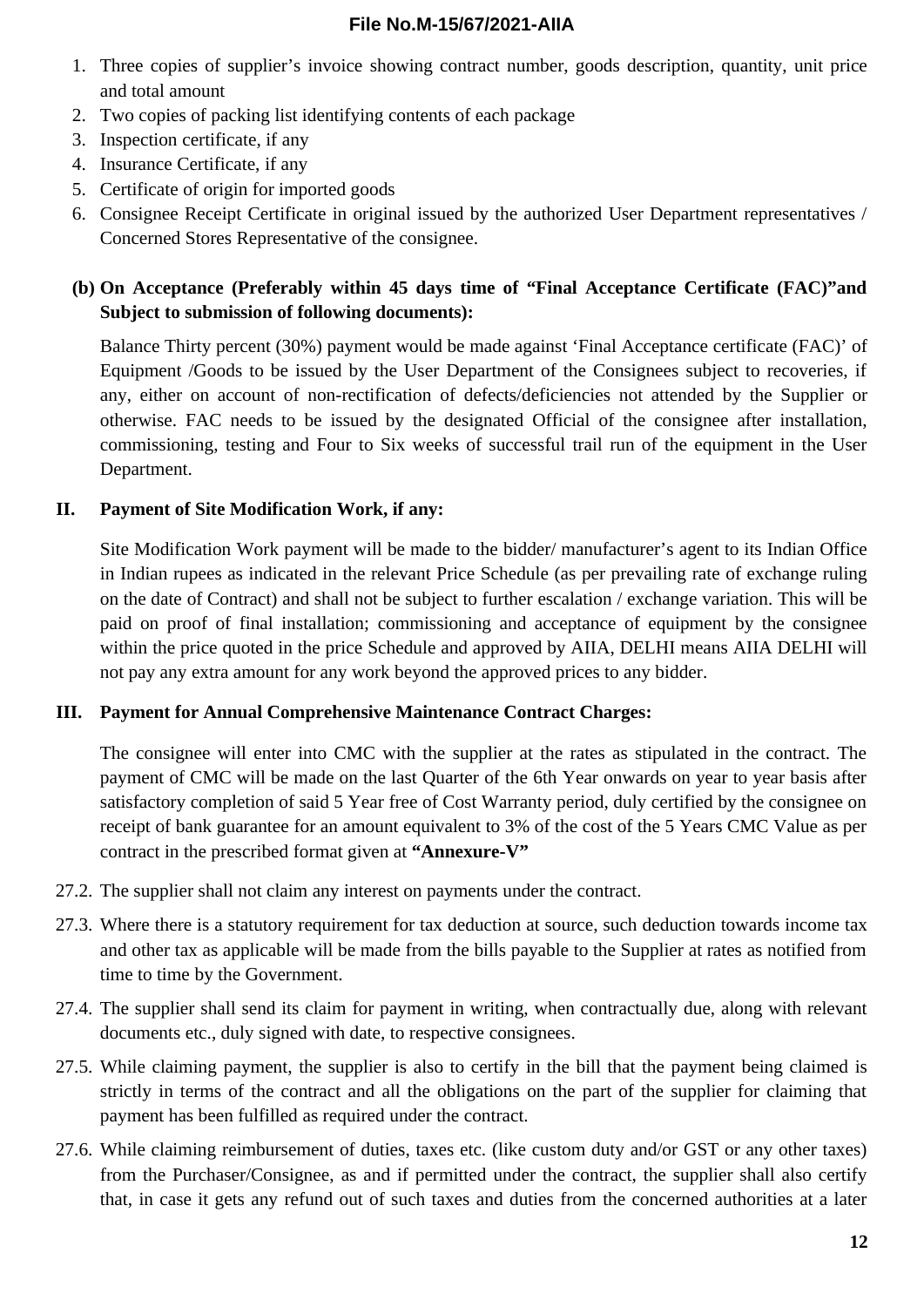- 1. Three copies of supplier's invoice showing contract number, goods description, quantity, unit price and total amount
- 2. Two copies of packing list identifying contents of each package
- 3. Inspection certificate, if any
- 4. Insurance Certificate, if any
- 5. Certificate of origin for imported goods
- 6. Consignee Receipt Certificate in original issued by the authorized User Department representatives / Concerned Stores Representative of the consignee.

# **(b) On Acceptance (Preferably within 45 days time of "Final Acceptance Certificate (FAC)"and Subject to submission of following documents):**

Balance Thirty percent (30%) payment would be made against 'Final Acceptance certificate (FAC)' of Equipment /Goods to be issued by the User Department of the Consignees subject to recoveries, if any, either on account of non-rectification of defects/deficiencies not attended by the Supplier or otherwise. FAC needs to be issued by the designated Official of the consignee after installation, commissioning, testing and Four to Six weeks of successful trail run of the equipment in the User Department.

# **II. Payment of Site Modification Work, if any:**

Site Modification Work payment will be made to the bidder/ manufacturer's agent to its Indian Office in Indian rupees as indicated in the relevant Price Schedule (as per prevailing rate of exchange ruling on the date of Contract) and shall not be subject to further escalation / exchange variation. This will be paid on proof of final installation; commissioning and acceptance of equipment by the consignee within the price quoted in the price Schedule and approved by AIIA, DELHI means AIIA DELHI will not pay any extra amount for any work beyond the approved prices to any bidder.

# **III. Payment for Annual Comprehensive Maintenance Contract Charges:**

The consignee will enter into CMC with the supplier at the rates as stipulated in the contract. The payment of CMC will be made on the last Quarter of the 6th Year onwards on year to year basis after satisfactory completion of said 5 Year free of Cost Warranty period, duly certified by the consignee on receipt of bank guarantee for an amount equivalent to 3% of the cost of the 5 Years CMC Value as per contract in the prescribed format given at **"Annexure-V"**

- 27.2. The supplier shall not claim any interest on payments under the contract.
- 27.3. Where there is a statutory requirement for tax deduction at source, such deduction towards income tax and other tax as applicable will be made from the bills payable to the Supplier at rates as notified from time to time by the Government.
- 27.4. The supplier shall send its claim for payment in writing, when contractually due, along with relevant documents etc., duly signed with date, to respective consignees.
- 27.5. While claiming payment, the supplier is also to certify in the bill that the payment being claimed is strictly in terms of the contract and all the obligations on the part of the supplier for claiming that payment has been fulfilled as required under the contract.
- 27.6. While claiming reimbursement of duties, taxes etc. (like custom duty and/or GST or any other taxes) from the Purchaser/Consignee, as and if permitted under the contract, the supplier shall also certify that, in case it gets any refund out of such taxes and duties from the concerned authorities at a later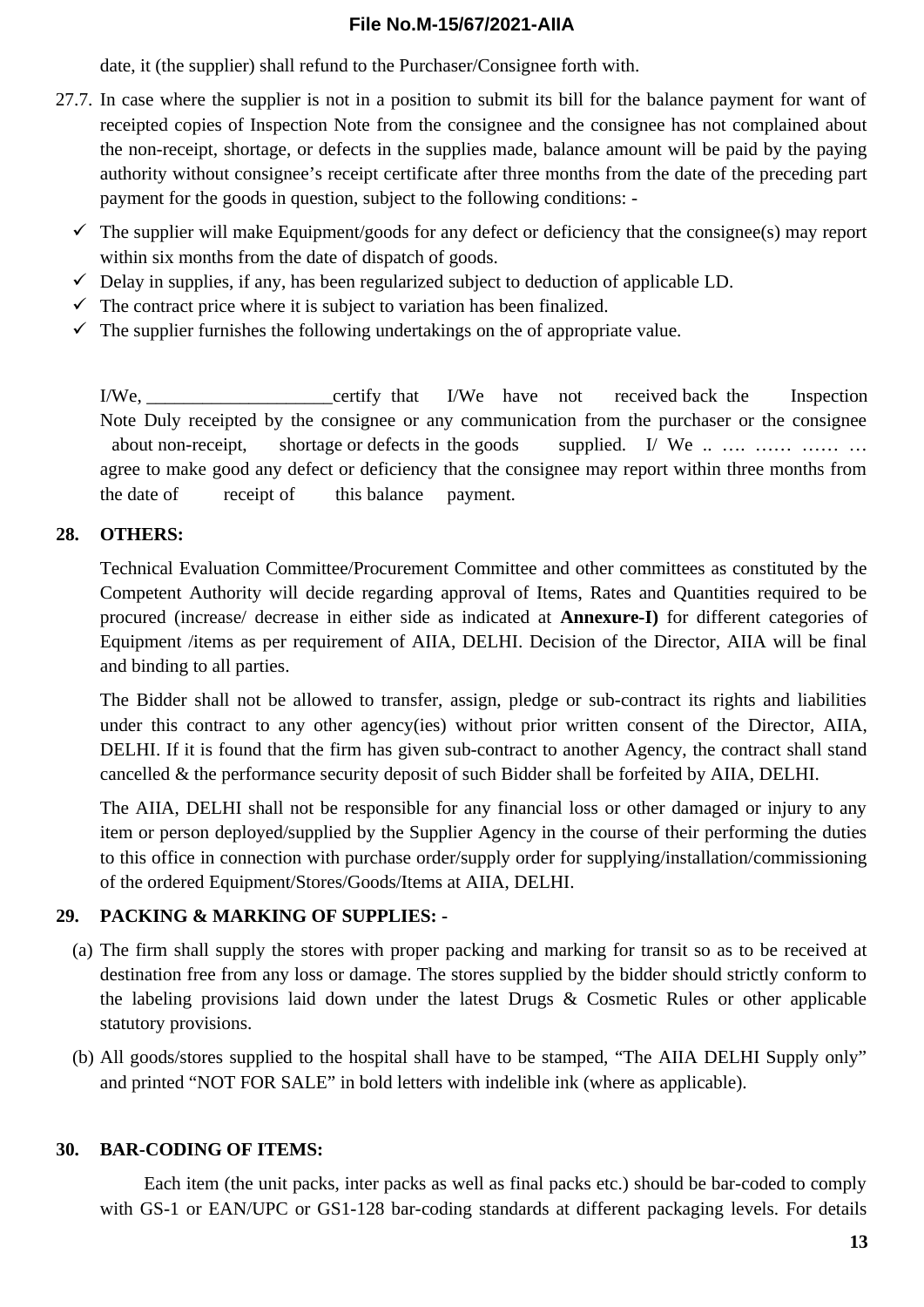date, it (the supplier) shall refund to the Purchaser/Consignee forth with.

- 27.7. In case where the supplier is not in a position to submit its bill for the balance payment for want of receipted copies of Inspection Note from the consignee and the consignee has not complained about the non-receipt, shortage, or defects in the supplies made, balance amount will be paid by the paying authority without consignee's receipt certificate after three months from the date of the preceding part payment for the goods in question, subject to the following conditions: -
	- $\checkmark$  The supplier will make Equipment/goods for any defect or deficiency that the consignee(s) may report within six months from the date of dispatch of goods.
	- $\checkmark$  Delay in supplies, if any, has been regularized subject to deduction of applicable LD.
	- $\checkmark$  The contract price where it is subject to variation has been finalized.
	- $\checkmark$  The supplier furnishes the following undertakings on the of appropriate value.

I/We, \_\_\_\_\_\_\_\_\_\_\_\_\_\_\_\_\_\_\_\_certify that I/We have not received back the Inspection Note Duly receipted by the consignee or any communication from the purchaser or the consignee about non-receipt, shortage or defects in the goods supplied. I/ We ... ..... ...... ..... agree to make good any defect or deficiency that the consignee may report within three months from the date of receipt of this balance payment.

#### **28. OTHERS:**

Technical Evaluation Committee/Procurement Committee and other committees as constituted by the Competent Authority will decide regarding approval of Items, Rates and Quantities required to be procured (increase/ decrease in either side as indicated at **Annexure-I)** for different categories of Equipment /items as per requirement of AIIA, DELHI. Decision of the Director, AIIA will be final and binding to all parties.

The Bidder shall not be allowed to transfer, assign, pledge or sub-contract its rights and liabilities under this contract to any other agency(ies) without prior written consent of the Director, AIIA, DELHI. If it is found that the firm has given sub-contract to another Agency, the contract shall stand cancelled & the performance security deposit of such Bidder shall be forfeited by AIIA, DELHI.

The AIIA, DELHI shall not be responsible for any financial loss or other damaged or injury to any item or person deployed/supplied by the Supplier Agency in the course of their performing the duties to this office in connection with purchase order/supply order for supplying/installation/commissioning of the ordered Equipment/Stores/Goods/Items at AIIA, DELHI.

# **29. PACKING & MARKING OF SUPPLIES: -**

- (a) The firm shall supply the stores with proper packing and marking for transit so as to be received at destination free from any loss or damage. The stores supplied by the bidder should strictly conform to the labeling provisions laid down under the latest Drugs & Cosmetic Rules or other applicable statutory provisions.
- (b) All goods/stores supplied to the hospital shall have to be stamped, "The AIIA DELHI Supply only" and printed "NOT FOR SALE" in bold letters with indelible ink (where as applicable).

#### **30. BAR-CODING OF ITEMS:**

Each item (the unit packs, inter packs as well as final packs etc.) should be bar-coded to comply with GS-1 or EAN/UPC or GS1-128 bar-coding standards at different packaging levels. For details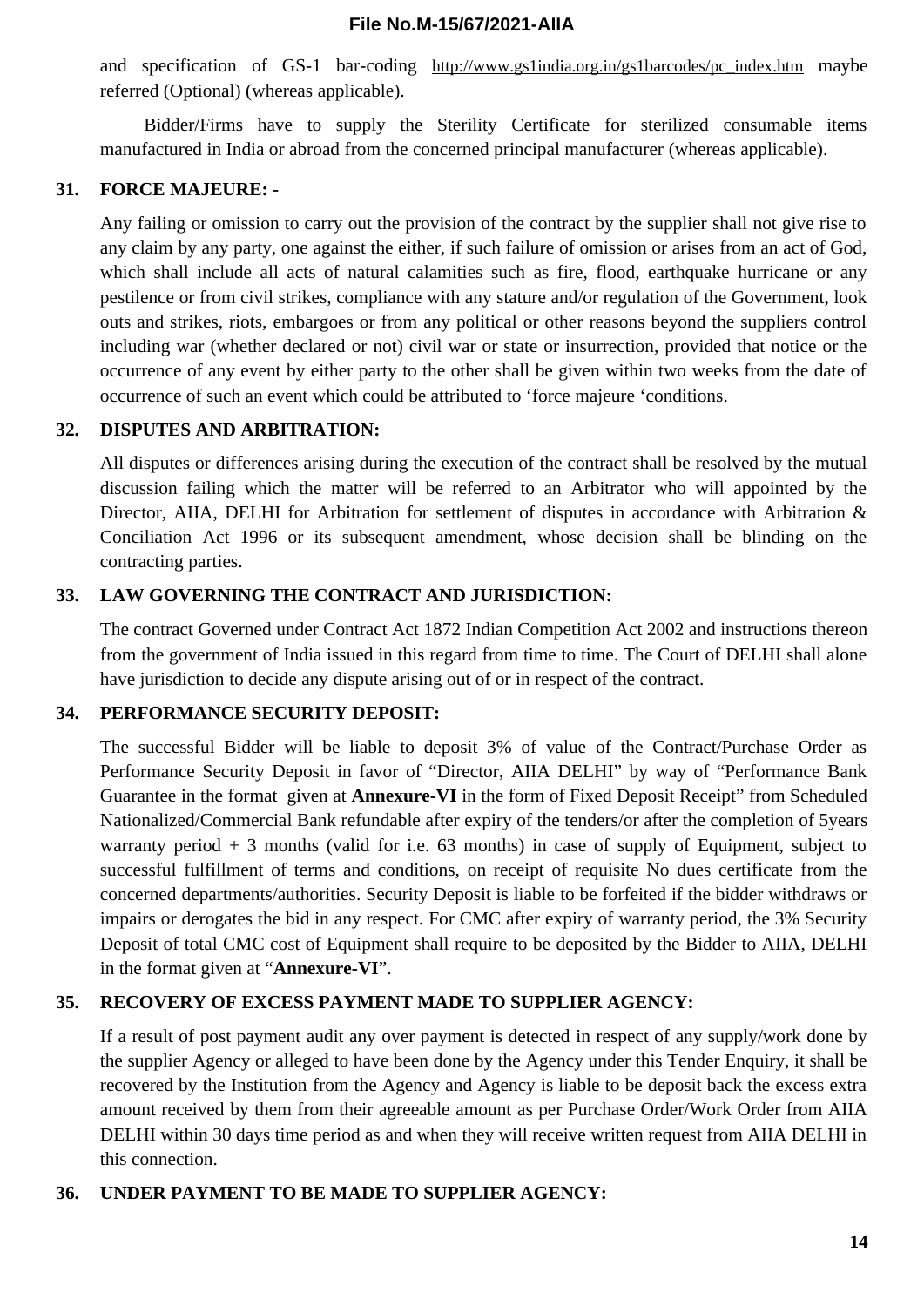and specification of GS-1 bar-coding http://www.gs1india.org.in/gs1barcodes/pc\_index.htm maybe referred (Optional) (whereas applicable).

Bidder/Firms have to supply the Sterility Certificate for sterilized consumable items manufactured in India or abroad from the concerned principal manufacturer (whereas applicable).

#### **31. FORCE MAJEURE: -**

Any failing or omission to carry out the provision of the contract by the supplier shall not give rise to any claim by any party, one against the either, if such failure of omission or arises from an act of God, which shall include all acts of natural calamities such as fire, flood, earthquake hurricane or any pestilence or from civil strikes, compliance with any stature and/or regulation of the Government, look outs and strikes, riots, embargoes or from any political or other reasons beyond the suppliers control including war (whether declared or not) civil war or state or insurrection, provided that notice or the occurrence of any event by either party to the other shall be given within two weeks from the date of occurrence of such an event which could be attributed to 'force majeure 'conditions.

#### **32. DISPUTES AND ARBITRATION:**

All disputes or differences arising during the execution of the contract shall be resolved by the mutual discussion failing which the matter will be referred to an Arbitrator who will appointed by the Director, AIIA, DELHI for Arbitration for settlement of disputes in accordance with Arbitration & Conciliation Act 1996 or its subsequent amendment, whose decision shall be blinding on the contracting parties.

#### **33. LAW GOVERNING THE CONTRACT AND JURISDICTION:**

The contract Governed under Contract Act 1872 Indian Competition Act 2002 and instructions thereon from the government of India issued in this regard from time to time. The Court of DELHI shall alone have jurisdiction to decide any dispute arising out of or in respect of the contract.

#### **34. PERFORMANCE SECURITY DEPOSIT:**

The successful Bidder will be liable to deposit 3% of value of the Contract/Purchase Order as Performance Security Deposit in favor of "Director, AIIA DELHI" by way of "Performance Bank Guarantee in the format given at **Annexure-VI** in the form of Fixed Deposit Receipt" from Scheduled Nationalized/Commercial Bank refundable after expiry of the tenders/or after the completion of 5years warranty period  $+3$  months (valid for i.e. 63 months) in case of supply of Equipment, subject to successful fulfillment of terms and conditions, on receipt of requisite No dues certificate from the concerned departments/authorities. Security Deposit is liable to be forfeited if the bidder withdraws or impairs or derogates the bid in any respect. For CMC after expiry of warranty period, the 3% Security Deposit of total CMC cost of Equipment shall require to be deposited by the Bidder to AIIA, DELHI in the format given at "**Annexure-VI**".

#### **35. RECOVERY OF EXCESS PAYMENT MADE TO SUPPLIER AGENCY:**

If a result of post payment audit any over payment is detected in respect of any supply/work done by the supplier Agency or alleged to have been done by the Agency under this Tender Enquiry, it shall be recovered by the Institution from the Agency and Agency is liable to be deposit back the excess extra amount received by them from their agreeable amount as per Purchase Order/Work Order from AIIA DELHI within 30 days time period as and when they will receive written request from AIIA DELHI in this connection.

#### **36. UNDER PAYMENT TO BE MADE TO SUPPLIER AGENCY:**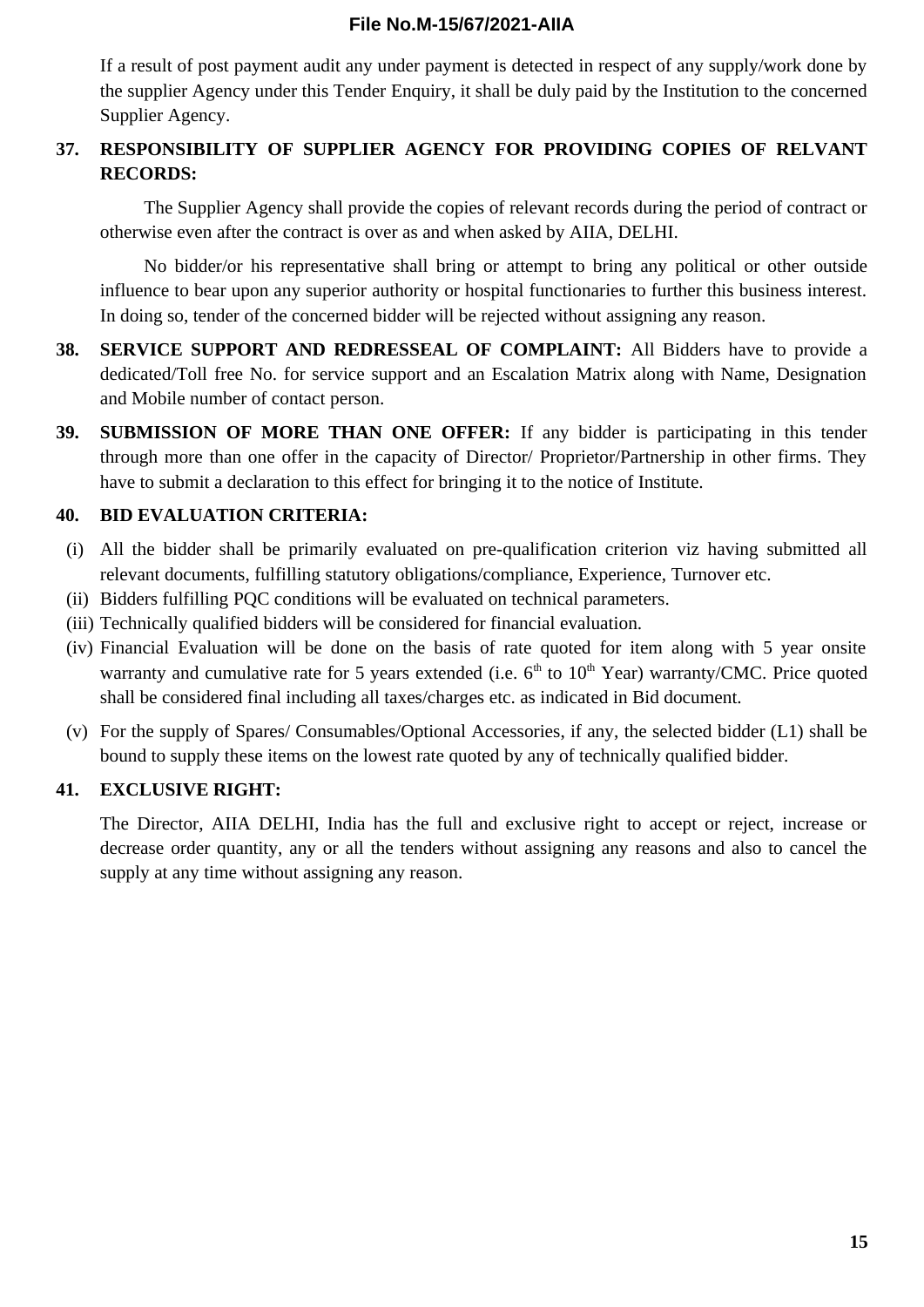If a result of post payment audit any under payment is detected in respect of any supply/work done by the supplier Agency under this Tender Enquiry, it shall be duly paid by the Institution to the concerned Supplier Agency.

# **37. RESPONSIBILITY OF SUPPLIER AGENCY FOR PROVIDING COPIES OF RELVANT RECORDS:**

The Supplier Agency shall provide the copies of relevant records during the period of contract or otherwise even after the contract is over as and when asked by AIIA, DELHI.

No bidder/or his representative shall bring or attempt to bring any political or other outside influence to bear upon any superior authority or hospital functionaries to further this business interest. In doing so, tender of the concerned bidder will be rejected without assigning any reason.

- **38. SERVICE SUPPORT AND REDRESSEAL OF COMPLAINT:** All Bidders have to provide a dedicated/Toll free No. for service support and an Escalation Matrix along with Name, Designation and Mobile number of contact person.
- **39. SUBMISSION OF MORE THAN ONE OFFER:** If any bidder is participating in this tender through more than one offer in the capacity of Director/ Proprietor/Partnership in other firms. They have to submit a declaration to this effect for bringing it to the notice of Institute.

#### **40. BID EVALUATION CRITERIA:**

- (i) All the bidder shall be primarily evaluated on pre-qualification criterion viz having submitted all relevant documents, fulfilling statutory obligations/compliance, Experience, Turnover etc.
- (ii) Bidders fulfilling PQC conditions will be evaluated on technical parameters.
- (iii) Technically qualified bidders will be considered for financial evaluation.
- (iv) Financial Evaluation will be done on the basis of rate quoted for item along with 5 year onsite warranty and cumulative rate for 5 years extended (i.e.  $6<sup>th</sup>$  to  $10<sup>th</sup>$  Year) warranty/CMC. Price quoted shall be considered final including all taxes/charges etc. as indicated in Bid document.
- (v) For the supply of Spares/ Consumables/Optional Accessories, if any, the selected bidder (L1) shall be bound to supply these items on the lowest rate quoted by any of technically qualified bidder.

#### **41. EXCLUSIVE RIGHT:**

The Director, AIIA DELHI, India has the full and exclusive right to accept or reject, increase or decrease order quantity, any or all the tenders without assigning any reasons and also to cancel the supply at any time without assigning any reason.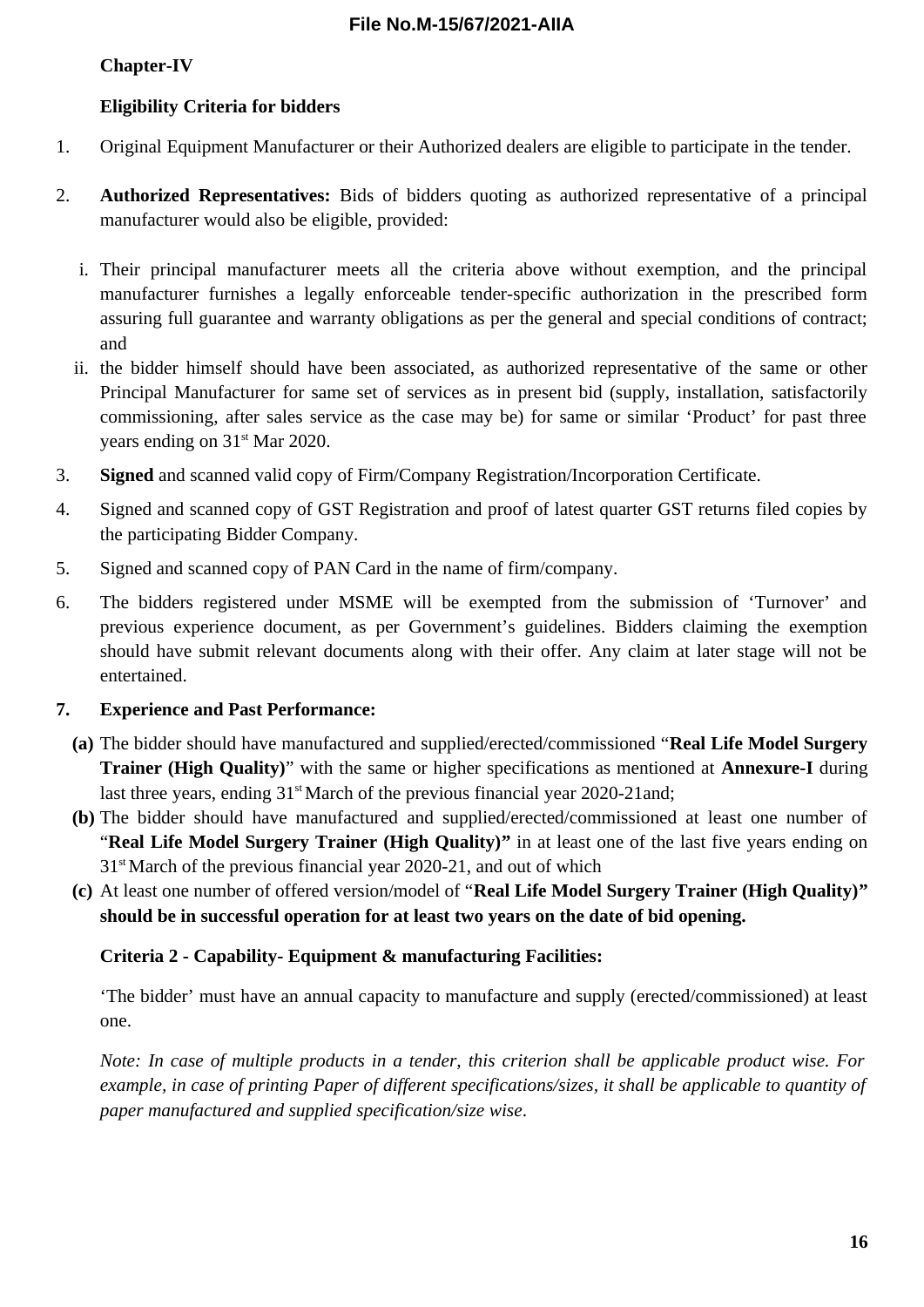### **Chapter-IV**

### **Eligibility Criteria for bidders**

- 1. Original Equipment Manufacturer or their Authorized dealers are eligible to participate in the tender.
- 2. **Authorized Representatives:** Bids of bidders quoting as authorized representative of a principal manufacturer would also be eligible, provided:
	- i. Their principal manufacturer meets all the criteria above without exemption, and the principal manufacturer furnishes a legally enforceable tender-specific authorization in the prescribed form assuring full guarantee and warranty obligations as per the general and special conditions of contract; and
	- ii. the bidder himself should have been associated, as authorized representative of the same or other Principal Manufacturer for same set of services as in present bid (supply, installation, satisfactorily commissioning, after sales service as the case may be) for same or similar 'Product' for past three years ending on 31<sup>st</sup> Mar 2020.
- 3. **Signed** and scanned valid copy of Firm/Company Registration/Incorporation Certificate.
- 4. Signed and scanned copy of GST Registration and proof of latest quarter GST returns filed copies by the participating Bidder Company.
- 5. Signed and scanned copy of PAN Card in the name of firm/company.
- 6. The bidders registered under MSME will be exempted from the submission of 'Turnover' and previous experience document, as per Government's guidelines. Bidders claiming the exemption should have submit relevant documents along with their offer. Any claim at later stage will not be entertained.

#### **7. Experience and Past Performance:**

- **(a)** The bidder should have manufactured and supplied/erected/commissioned "**Real Life Model Surgery Trainer (High Quality)**" with the same or higher specifications as mentioned at **Annexure-I** during last three years, ending  $31<sup>st</sup>$  March of the previous financial year 2020-21and;
- **(b)** The bidder should have manufactured and supplied/erected/commissioned at least one number of "**Real Life Model Surgery Trainer (High Quality)"** in at least one of the last five years ending on 31<sup>st</sup> March of the previous financial year 2020-21, and out of which
- **(c)** At least one number of offered version/model of "**Real Life Model Surgery Trainer (High Quality)" should be in successful operation for at least two years on the date of bid opening.**

#### **Criteria 2 - Capability- Equipment & manufacturing Facilities:**

'The bidder' must have an annual capacity to manufacture and supply (erected/commissioned) at least one.

*Note: In case of multiple products in a tender, this criterion shall be applicable product wise. For example, in case of printing Paper of different specifications/sizes, it shall be applicable to quantity of paper manufactured and supplied specification/size wise*.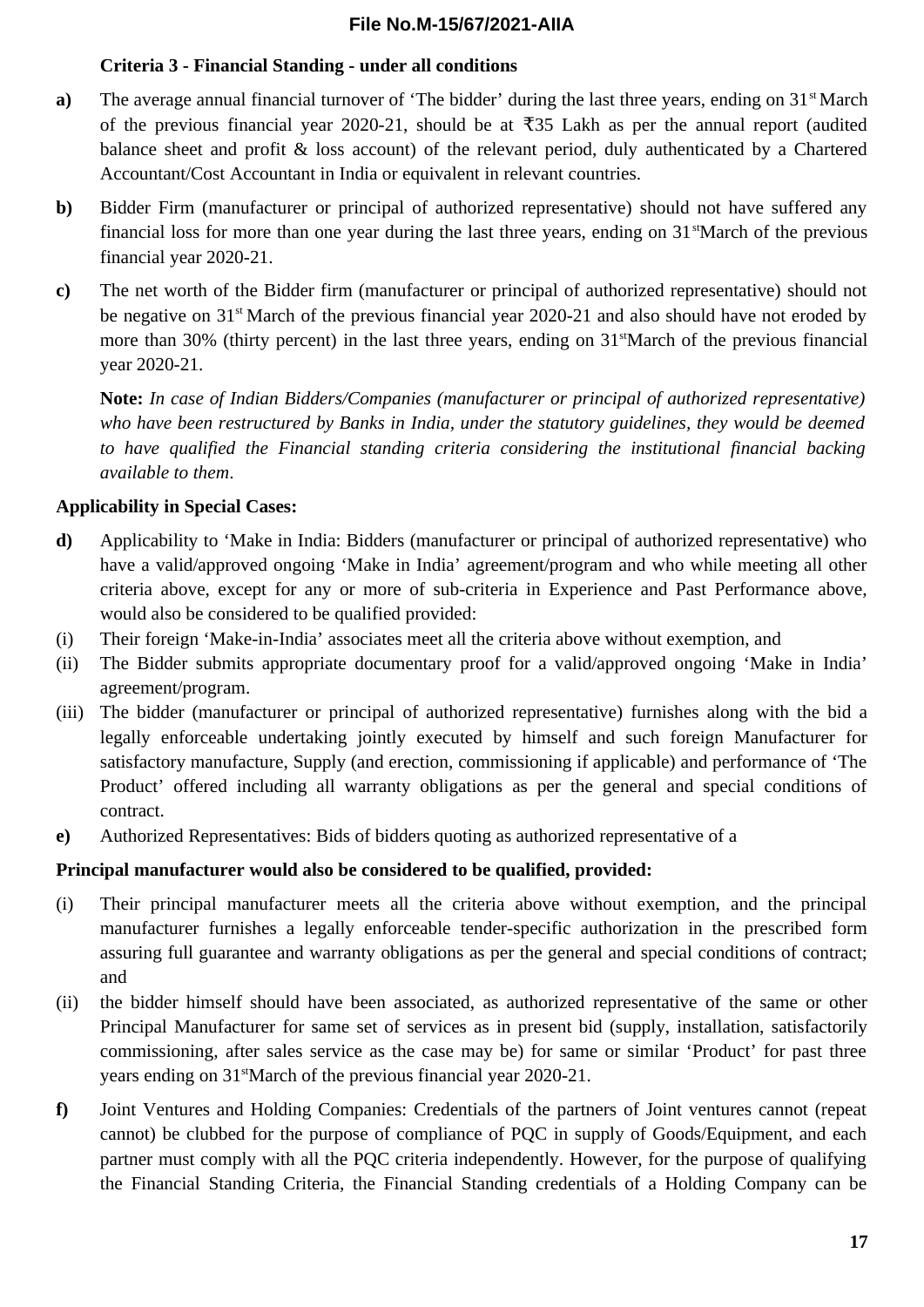#### **Criteria 3 - Financial Standing - under all conditions**

- **a**) The average annual financial turnover of 'The bidder' during the last three years, ending on 31<sup>st</sup> March of the previous financial year 2020-21, should be at  $\overline{3}35$  Lakh as per the annual report (audited balance sheet and profit & loss account) of the relevant period, duly authenticated by a Chartered Accountant/Cost Accountant in India or equivalent in relevant countries.
- **b)** Bidder Firm (manufacturer or principal of authorized representative) should not have suffered any financial loss for more than one year during the last three years, ending on  $31<sup>st</sup>March$  of the previous financial year 2020-21.
- **c)** The net worth of the Bidder firm (manufacturer or principal of authorized representative) should not be negative on 31<sup>st</sup> March of the previous financial year 2020-21 and also should have not eroded by more than 30% (thirty percent) in the last three years, ending on  $31<sup>st</sup>$  March of the previous financial year 2020-21.

**Note:** *In case of Indian Bidders/Companies (manufacturer or principal of authorized representative) who have been restructured by Banks in India, under the statutory guidelines, they would be deemed to have qualified the Financial standing criteria considering the institutional financial backing available to them*.

# **Applicability in Special Cases:**

- **d)** Applicability to 'Make in India: Bidders (manufacturer or principal of authorized representative) who have a valid/approved ongoing 'Make in India' agreement/program and who while meeting all other criteria above, except for any or more of sub-criteria in Experience and Past Performance above, would also be considered to be qualified provided:
- (i) Their foreign 'Make-in-India' associates meet all the criteria above without exemption, and
- (ii) The Bidder submits appropriate documentary proof for a valid/approved ongoing 'Make in India' agreement/program.
- (iii) The bidder (manufacturer or principal of authorized representative) furnishes along with the bid a legally enforceable undertaking jointly executed by himself and such foreign Manufacturer for satisfactory manufacture, Supply (and erection, commissioning if applicable) and performance of 'The Product' offered including all warranty obligations as per the general and special conditions of contract.
- **e)** Authorized Representatives: Bids of bidders quoting as authorized representative of a

# **Principal manufacturer would also be considered to be qualified, provided:**

- (i) Their principal manufacturer meets all the criteria above without exemption, and the principal manufacturer furnishes a legally enforceable tender-specific authorization in the prescribed form assuring full guarantee and warranty obligations as per the general and special conditions of contract; and
- (ii) the bidder himself should have been associated, as authorized representative of the same or other Principal Manufacturer for same set of services as in present bid (supply, installation, satisfactorily commissioning, after sales service as the case may be) for same or similar 'Product' for past three years ending on 31<sup>st</sup>March of the previous financial year 2020-21.
- **f)** Joint Ventures and Holding Companies: Credentials of the partners of Joint ventures cannot (repeat cannot) be clubbed for the purpose of compliance of PQC in supply of Goods/Equipment, and each partner must comply with all the PQC criteria independently. However, for the purpose of qualifying the Financial Standing Criteria, the Financial Standing credentials of a Holding Company can be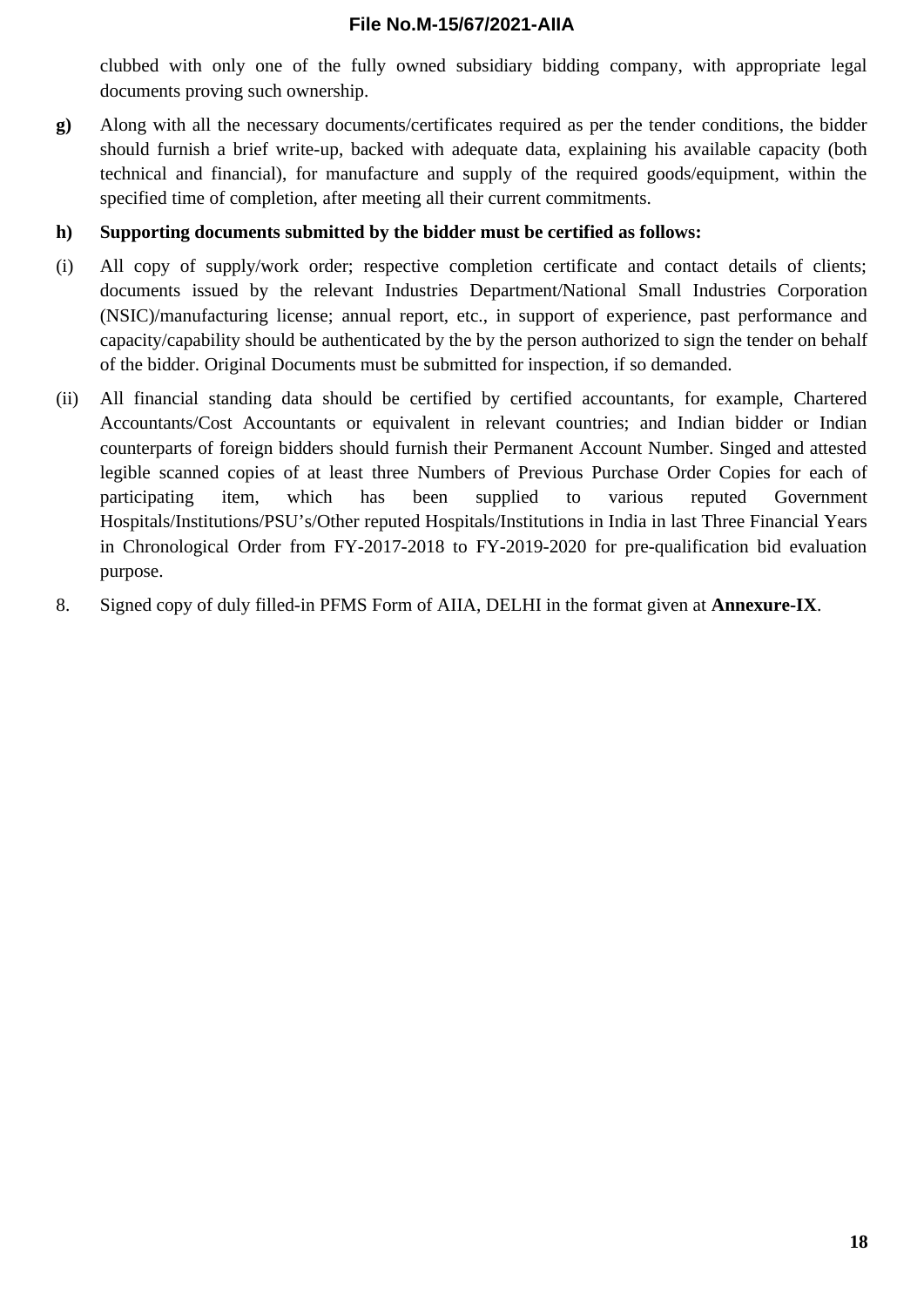clubbed with only one of the fully owned subsidiary bidding company, with appropriate legal documents proving such ownership.

**g)** Along with all the necessary documents/certificates required as per the tender conditions, the bidder should furnish a brief write-up, backed with adequate data, explaining his available capacity (both technical and financial), for manufacture and supply of the required goods/equipment, within the specified time of completion, after meeting all their current commitments.

#### **h) Supporting documents submitted by the bidder must be certified as follows:**

- (i) All copy of supply/work order; respective completion certificate and contact details of clients; documents issued by the relevant Industries Department/National Small Industries Corporation (NSIC)/manufacturing license; annual report, etc., in support of experience, past performance and capacity/capability should be authenticated by the by the person authorized to sign the tender on behalf of the bidder. Original Documents must be submitted for inspection, if so demanded.
- (ii) All financial standing data should be certified by certified accountants, for example, Chartered Accountants/Cost Accountants or equivalent in relevant countries; and Indian bidder or Indian counterparts of foreign bidders should furnish their Permanent Account Number. Singed and attested legible scanned copies of at least three Numbers of Previous Purchase Order Copies for each of participating item, which has been supplied to various reputed Government Hospitals/Institutions/PSU's/Other reputed Hospitals/Institutions in India in last Three Financial Years in Chronological Order from FY-2017-2018 to FY-2019-2020 for pre-qualification bid evaluation purpose.
- 8. Signed copy of duly filled-in PFMS Form of AIIA, DELHI in the format given at **Annexure-IX**.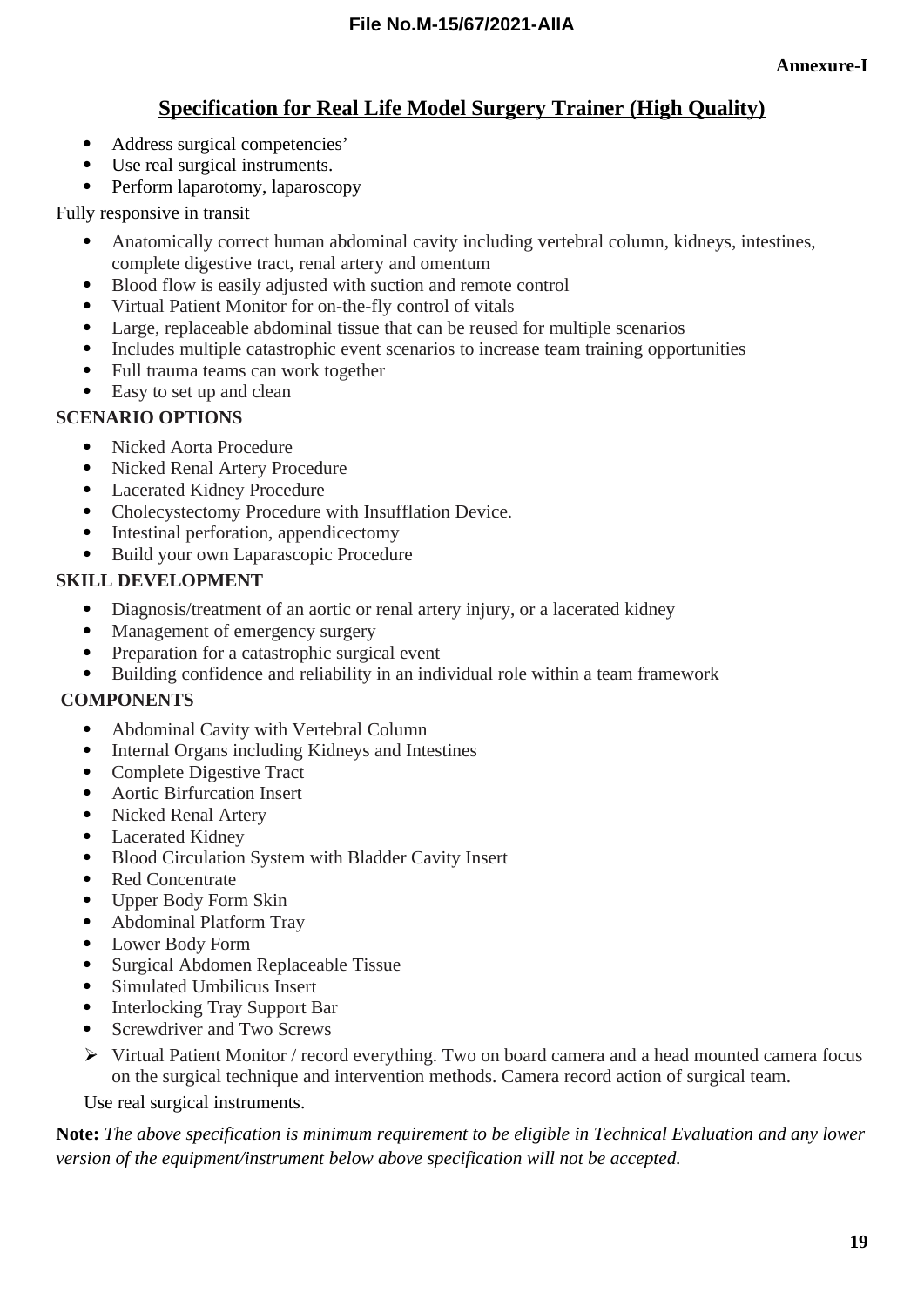# **Specification for Real Life Model Surgery Trainer (High Quality)**

- Address surgical competencies'
- Use real surgical instruments.
- Perform laparotomy, laparoscopy

#### Fully responsive in transit

- Anatomically correct human abdominal cavity including vertebral column, kidneys, intestines, complete digestive tract, renal artery and omentum
- Blood flow is easily adjusted with suction and remote control
- Virtual Patient Monitor for on-the-fly control of vitals
- Large, replaceable abdominal tissue that can be reused for multiple scenarios
- Includes multiple catastrophic event scenarios to increase team training opportunities
- Full trauma teams can work together
- Easy to set up and clean

# **SCENARIO OPTIONS**

- Nicked Aorta Procedure
- Nicked Renal Artery Procedure
- Lacerated Kidney Procedure
- Cholecystectomy Procedure with Insufflation Device.
- Intestinal perforation, appendicectomy
- Build your own Laparascopic Procedure

#### **SKILL DEVELOPMENT**

- Diagnosis/treatment of an aortic or renal artery injury, or a lacerated kidney
- Management of emergency surgery
- Preparation for a catastrophic surgical event
- Building confidence and reliability in an individual role within a team framework

# **COMPONENTS**

- Abdominal Cavity with Vertebral Column
- Internal Organs including Kidneys and Intestines
- Complete Digestive Tract
- Aortic Birfurcation Insert
- Nicked Renal Artery
- Lacerated Kidney
- Blood Circulation System with Bladder Cavity Insert
- Red Concentrate
- Upper Body Form Skin
- Abdominal Platform Tray
- Lower Body Form
- Surgical Abdomen Replaceable Tissue
- Simulated Umbilicus Insert
- Interlocking Tray Support Bar
- Screwdriver and Two Screws
- Virtual Patient Monitor / record everything. Two on board camera and a head mounted camera focus on the surgical technique and intervention methods. Camera record action of surgical team.

Use real surgical instruments.

**Note:** *The above specification is minimum requirement to be eligible in Technical Evaluation and any lower version of the equipment/instrument below above specification will not be accepted.*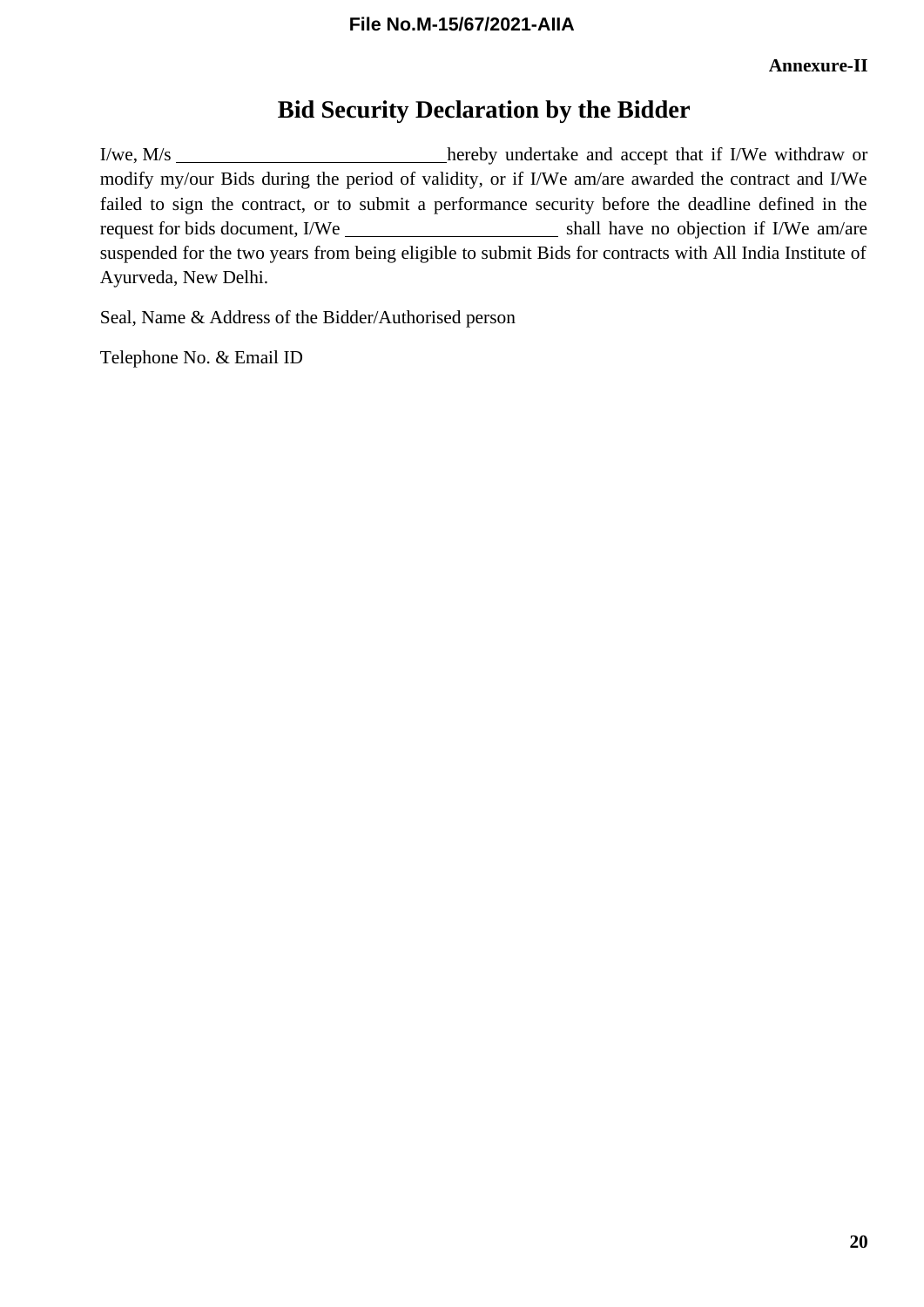# **Bid Security Declaration by the Bidder**

I/we, M/s modify my/our Bids during the period of validity, or if I/We am/are awarded the contract and I/We failed to sign the contract, or to submit a performance security before the deadline defined in the request for bids document, I/We shall have no objection if I/We am/are suspended for the two years from being eligible to submit Bids for contracts with All India Institute of Ayurveda, New Delhi.

Seal, Name & Address of the Bidder/Authorised person

Telephone No. & Email ID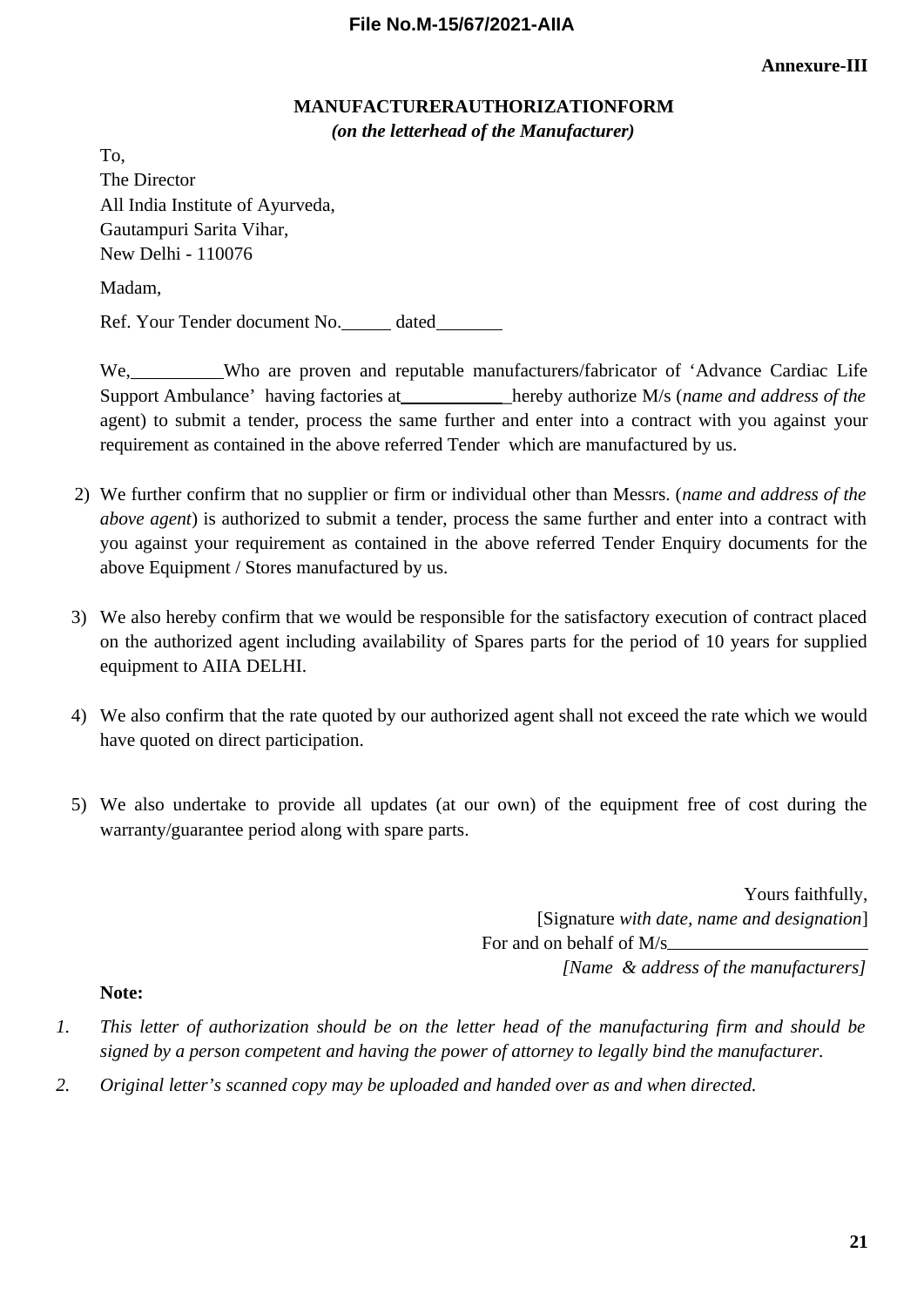# **MANUFACTURERAUTHORIZATIONFORM** *(on the letterhead of the Manufacturer)*

To, The Director All India Institute of Ayurveda, Gautampuri Sarita Vihar, New Delhi - 110076 Madam, Ref. Your Tender document No. \_\_\_\_\_ dated\_\_\_\_\_\_\_

We, Who are proven and reputable manufacturers/fabricator of 'Advance Cardiac Life Support Ambulance' having factories at **hereby authorize M/s (name and address of the** agent) to submit a tender, process the same further and enter into a contract with you against your requirement as contained in the above referred Tender which are manufactured by us.

- 2) We further confirm that no supplier or firm or individual other than Messrs. (*name and address of the above agent*) is authorized to submit a tender, process the same further and enter into a contract with you against your requirement as contained in the above referred Tender Enquiry documents for the above Equipment / Stores manufactured by us.
- 3) We also hereby confirm that we would be responsible for the satisfactory execution of contract placed on the authorized agent including availability of Spares parts for the period of 10 years for supplied equipment to AIIA DELHI.
- 4) We also confirm that the rate quoted by our authorized agent shall not exceed the rate which we would have quoted on direct participation.
- 5) We also undertake to provide all updates (at our own) of the equipment free of cost during the warranty/guarantee period along with spare parts.

Yours faithfully, [Signature *with date, name and designation*] For and on behalf of M/s *[Name & address of the manufacturers]*

# **Note:**

- *1. This letter of authorization should be on the letter head of the manufacturing firm and should be signed by a person competent and having the power of attorney to legally bind the manufacturer.*
- *2. Original letter's scanned copy may be uploaded and handed over as and when directed.*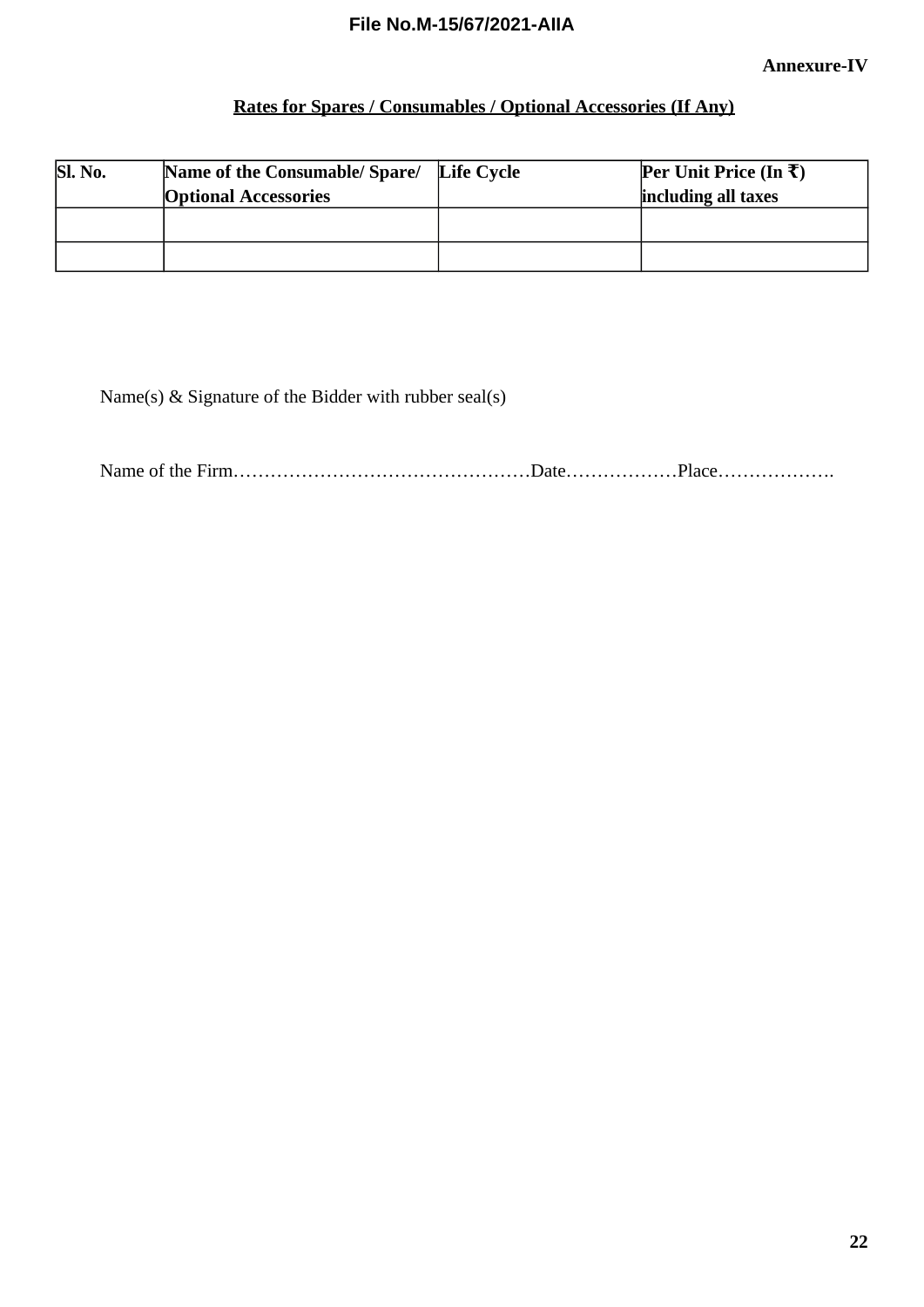# **Rates for Spares / Consumables / Optional Accessories (If Any)**

| Sl. No. | Name of the Consumable/ Spare/ | Life Cycle | <b>Per Unit Price (In <math>\bar{\tau}</math>)</b> |
|---------|--------------------------------|------------|----------------------------------------------------|
|         | <b>Optional Accessories</b>    |            | including all taxes                                |
|         |                                |            |                                                    |
|         |                                |            |                                                    |
|         |                                |            |                                                    |

Name(s) & Signature of the Bidder with rubber seal(s)

Name of the Firm…………………………………………Date………………Place……………….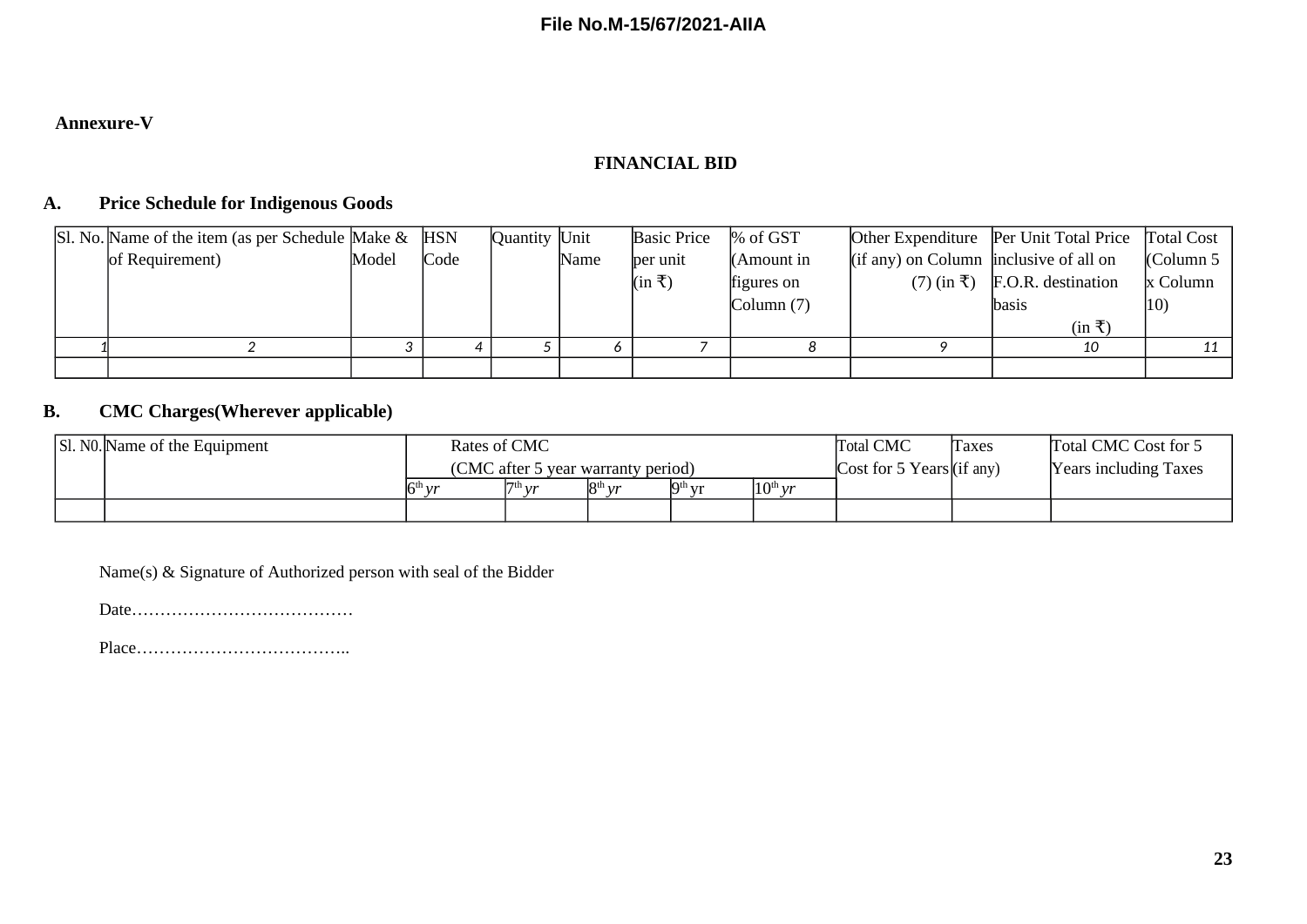#### **Annexure-V**

# **FINANCIAL BID**

#### **A. Price Schedule for Indigenous Goods**

|  | Sl. No. Name of the item (as per Schedule Make & HSN |       |      | Quantity  Unit |      | <b>Basic Price</b>          | $%$ of GST    |                                             | Other Expenditure   Per Unit Total Price   Total Cost |              |
|--|------------------------------------------------------|-------|------|----------------|------|-----------------------------|---------------|---------------------------------------------|-------------------------------------------------------|--------------|
|  | of Requirement)                                      | Model | Code |                | Name | ber unit                    | $(Am$ ount in | $(i$ f any) on Column   inclusive of all on |                                                       | Column 5     |
|  |                                                      |       |      |                |      | $(\text{in } \overline{z})$ | figures on    |                                             | $(7)$ (in $\bar{x}$ ) F.O.R. destination              | x Column     |
|  |                                                      |       |      |                |      |                             | Column(7)     |                                             | lbasis                                                | $ 10\rangle$ |
|  |                                                      |       |      |                |      |                             |               |                                             | $(in \bar{t})$                                        |              |
|  |                                                      |       |      |                |      |                             |               |                                             | 10                                                    |              |
|  |                                                      |       |      |                |      |                             |               |                                             |                                                       |              |

#### **B. CMC Charges(Wherever applicable)**

|  |  | SI. N0. Name of the Equipment      | Rates of CMC       |           |                           |                                           | <b>Total CMC</b>             | <b>Taxes</b> | Total CMC Cost for 5 |  |
|--|--|------------------------------------|--------------------|-----------|---------------------------|-------------------------------------------|------------------------------|--------------|----------------------|--|
|  |  | (CMC after 5 year warranty period) |                    |           | Cost for 5 Years (if any) |                                           | <b>Years including Taxes</b> |              |                      |  |
|  |  |                                    | $5^{\text{th}}$ vr | $7th_{1}$ | $R^{th}$ $\nu r$          | $\mathbf{q}$ <sup>th</sup> $\mathbf{v}$ r | $10^{th}$ vr                 |              |                      |  |
|  |  |                                    |                    |           |                           |                                           |                              |              |                      |  |

Name(s) & Signature of Authorized person with seal of the Bidder

Date…………………………………

Place………………………………..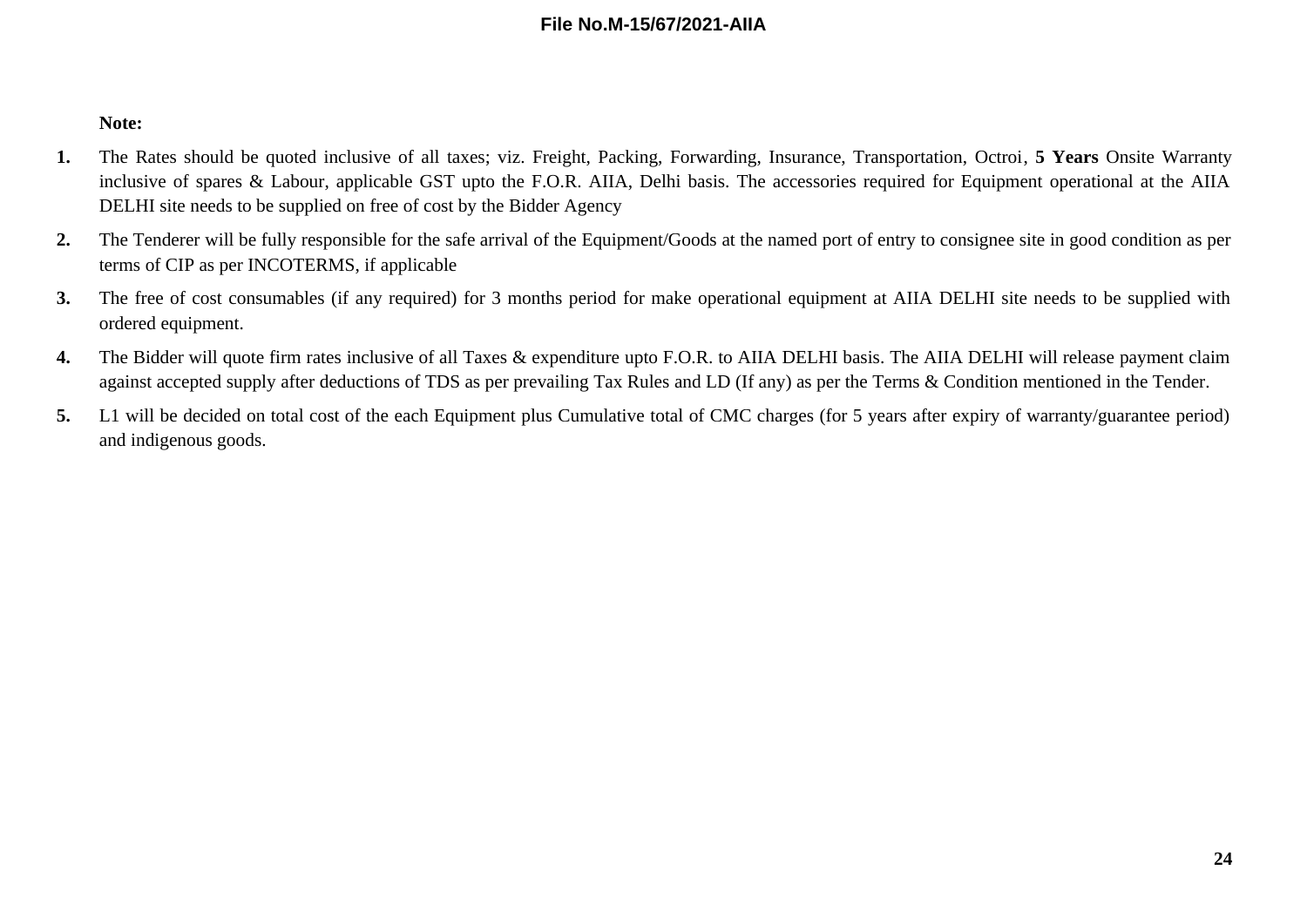#### **Note:**

- **1.** The Rates should be quoted inclusive of all taxes; viz. Freight, Packing, Forwarding, Insurance, Transportation, Octroi, **5 Years** Onsite Warranty inclusive of spares & Labour, applicable GST upto the F.O.R. AIIA, Delhi basis. The accessories required for Equipment operational at the AIIA DELHI site needs to be supplied on free of cost by the Bidder Agency
- **2.** The Tenderer will be fully responsible for the safe arrival of the Equipment/Goods at the named port of entry to consignee site in good condition as per terms of CIP as per INCOTERMS, if applicable
- **3.** The free of cost consumables (if any required) for 3 months period for make operational equipment at AIIA DELHI site needs to be supplied with ordered equipment.
- **4.** The Bidder will quote firm rates inclusive of all Taxes & expenditure upto F.O.R. to AIIA DELHI basis. The AIIA DELHI will release payment claim against accepted supply after deductions of TDS as per prevailing Tax Rules and LD (If any) as per the Terms & Condition mentioned in the Tender.
- **5.** L1 will be decided on total cost of the each Equipment plus Cumulative total of CMC charges (for 5 years after expiry of warranty/guarantee period) and indigenous goods.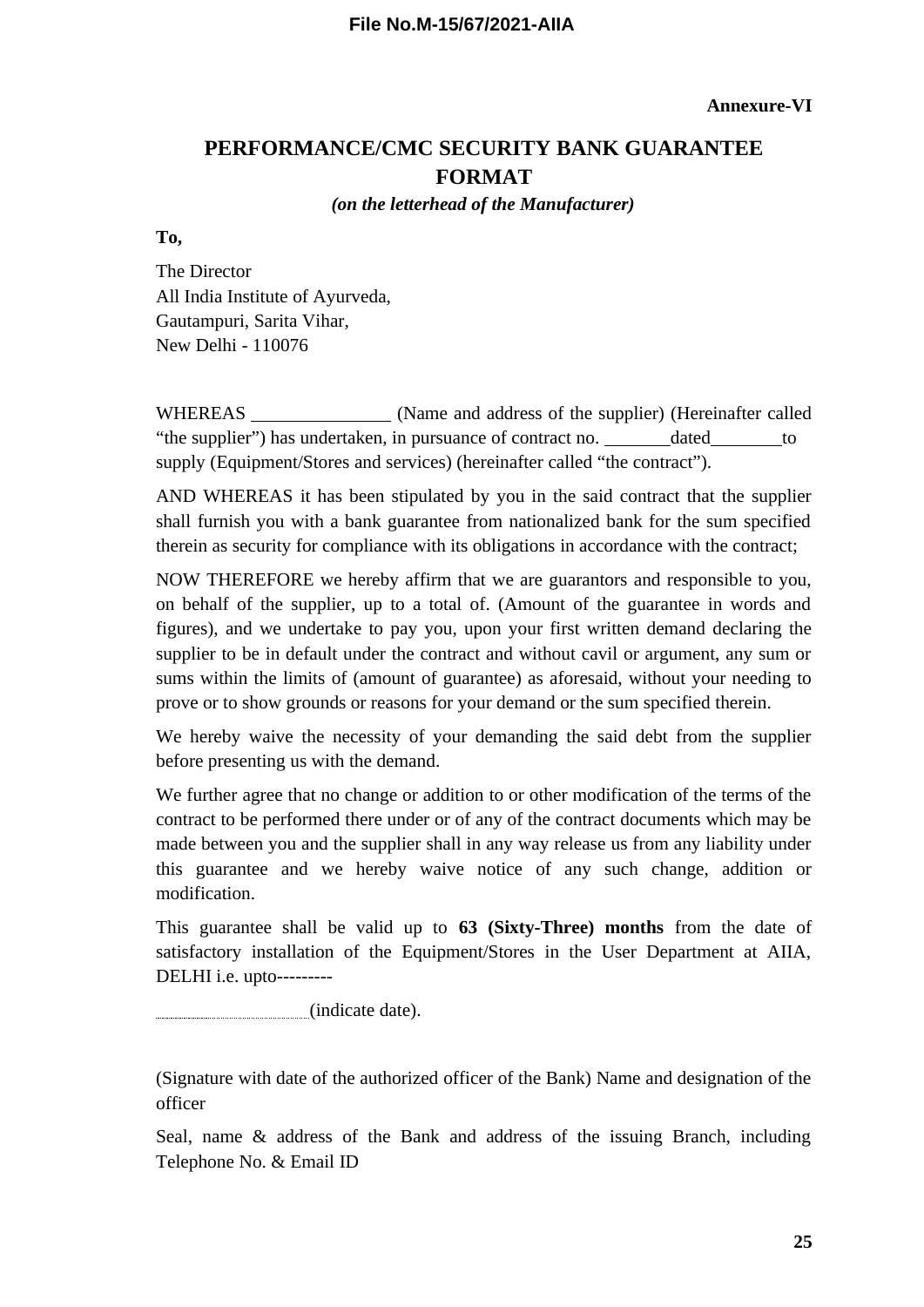# **PERFORMANCE/CMC SECURITY BANK GUARANTEE FORMAT**

#### *(on the letterhead of the Manufacturer)*

**To,**

The Director All India Institute of Ayurveda, Gautampuri, Sarita Vihar, New Delhi - 110076

WHEREAS \_\_\_\_\_\_\_\_\_\_\_\_\_\_\_\_\_ (Name and address of the supplier) (Hereinafter called "the supplier") has undertaken, in pursuance of contract no. dated to supply (Equipment/Stores and services) (hereinafter called "the contract").

AND WHEREAS it has been stipulated by you in the said contract that the supplier shall furnish you with a bank guarantee from nationalized bank for the sum specified therein as security for compliance with its obligations in accordance with the contract;

NOW THEREFORE we hereby affirm that we are guarantors and responsible to you, on behalf of the supplier, up to a total of. (Amount of the guarantee in words and figures), and we undertake to pay you, upon your first written demand declaring the supplier to be in default under the contract and without cavil or argument, any sum or sums within the limits of (amount of guarantee) as aforesaid, without your needing to prove or to show grounds or reasons for your demand or the sum specified therein.

We hereby waive the necessity of your demanding the said debt from the supplier before presenting us with the demand.

We further agree that no change or addition to or other modification of the terms of the contract to be performed there under or of any of the contract documents which may be made between you and the supplier shall in any way release us from any liability under this guarantee and we hereby waive notice of any such change, addition or modification.

This guarantee shall be valid up to **63 (Sixty-Three) months** from the date of satisfactory installation of the Equipment/Stores in the User Department at AIIA, DELHI i.e. upto---------

(indicate date).

(Signature with date of the authorized officer of the Bank) Name and designation of the officer

Seal, name & address of the Bank and address of the issuing Branch, including Telephone No. & Email ID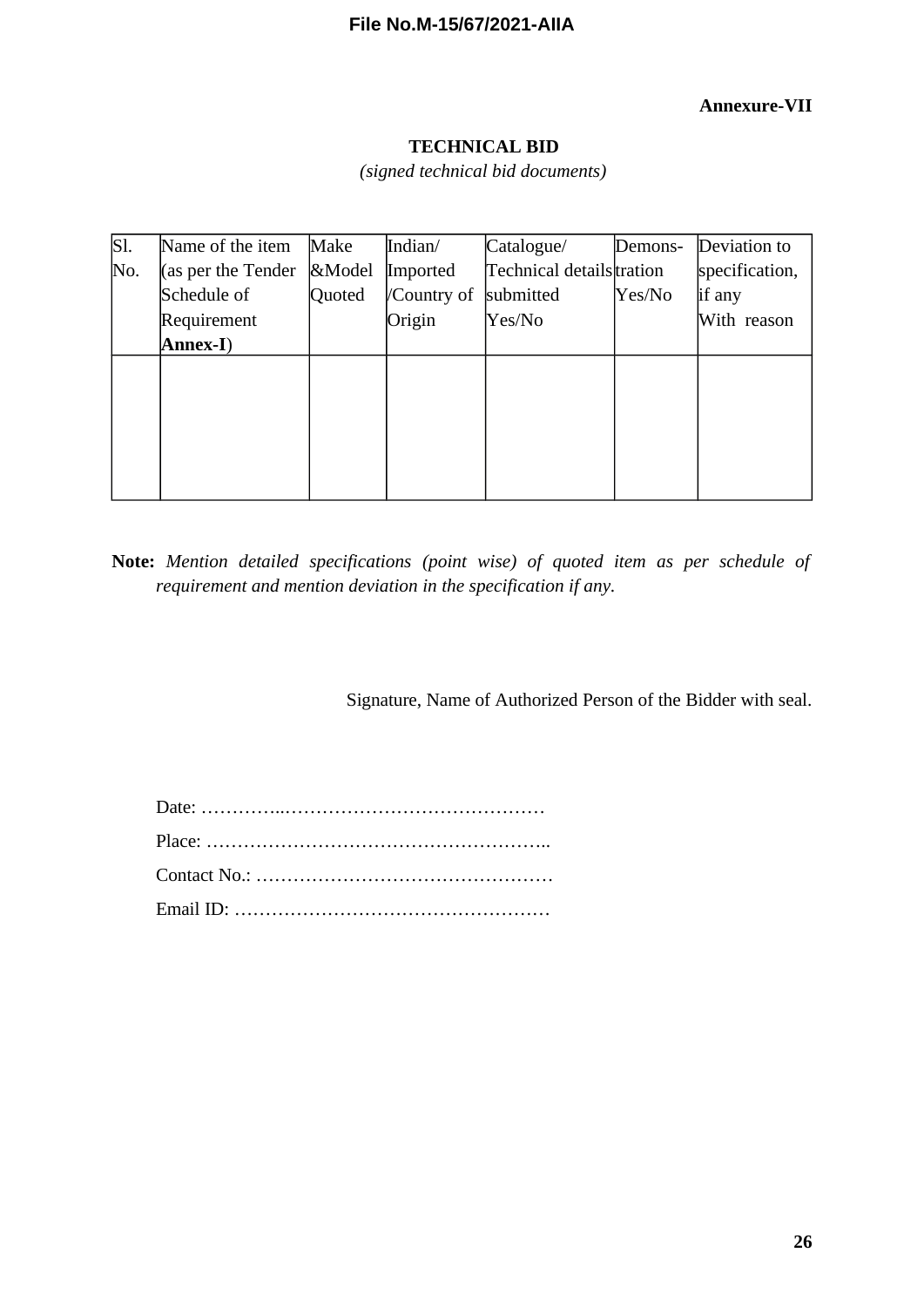#### **Annexure-VII**

# **TECHNICAL BID** *(signed technical bid documents)*

| $\overline{\text{SI}}$ . | Name of the item   | Make   | Indian/     | Catalogue/                | Demons- | Deviation to   |
|--------------------------|--------------------|--------|-------------|---------------------------|---------|----------------|
| No.                      | (as per the Tender | &Model | Imported    | Technical details tration |         | specification, |
|                          | Schedule of        | Quoted | /Country of | submitted                 | Yes/No  | if any         |
|                          | Requirement        |        | Origin      | Yes/No                    |         | With reason    |
|                          | Annex-I)           |        |             |                           |         |                |
|                          |                    |        |             |                           |         |                |
|                          |                    |        |             |                           |         |                |
|                          |                    |        |             |                           |         |                |
|                          |                    |        |             |                           |         |                |
|                          |                    |        |             |                           |         |                |
|                          |                    |        |             |                           |         |                |

**Note:** *Mention detailed specifications (point wise) of quoted item as per schedule of requirement and mention deviation in the specification if any.*

Signature, Name of Authorized Person of the Bidder with seal.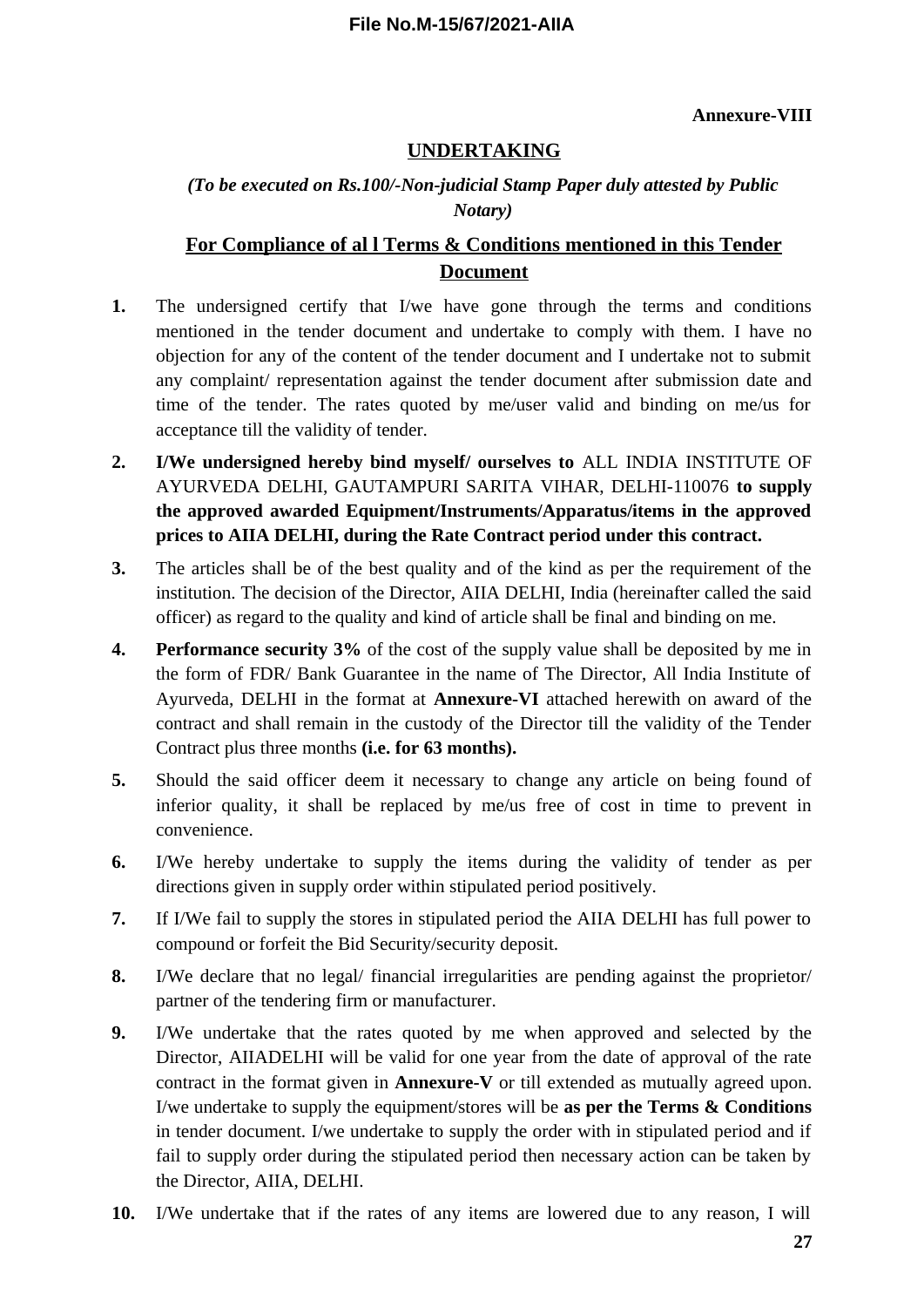#### **Annexure-VIII**

#### **UNDERTAKING**

# *(To be executed on Rs.100/-Non-judicial Stamp Paper duly attested by Public Notary)*

# **For Compliance of al l Terms & Conditions mentioned in this Tender Document**

- **1.** The undersigned certify that I/we have gone through the terms and conditions mentioned in the tender document and undertake to comply with them. I have no objection for any of the content of the tender document and I undertake not to submit any complaint/ representation against the tender document after submission date and time of the tender. The rates quoted by me/user valid and binding on me/us for acceptance till the validity of tender.
- **2. I/We undersigned hereby bind myself/ ourselves to** ALL INDIA INSTITUTE OF AYURVEDA DELHI, GAUTAMPURI SARITA VIHAR, DELHI-110076 **to supply the approved awarded Equipment/Instruments/Apparatus/items in the approved prices to AIIA DELHI, during the Rate Contract period under this contract.**
- **3.** The articles shall be of the best quality and of the kind as per the requirement of the institution. The decision of the Director, AIIA DELHI, India (hereinafter called the said officer) as regard to the quality and kind of article shall be final and binding on me.
- **4. Performance security 3%** of the cost of the supply value shall be deposited by me in the form of FDR/ Bank Guarantee in the name of The Director, All India Institute of Ayurveda, DELHI in the format at **Annexure-VI** attached herewith on award of the contract and shall remain in the custody of the Director till the validity of the Tender Contract plus three months **(i.e. for 63 months).**
- **5.** Should the said officer deem it necessary to change any article on being found of inferior quality, it shall be replaced by me/us free of cost in time to prevent in convenience.
- **6.** I/We hereby undertake to supply the items during the validity of tender as per directions given in supply order within stipulated period positively.
- **7.** If I/We fail to supply the stores in stipulated period the AIIA DELHI has full power to compound or forfeit the Bid Security/security deposit.
- **8.** I/We declare that no legal/ financial irregularities are pending against the proprietor/ partner of the tendering firm or manufacturer.
- **9.** I/We undertake that the rates quoted by me when approved and selected by the Director, AIIADELHI will be valid for one year from the date of approval of the rate contract in the format given in **Annexure-V** or till extended as mutually agreed upon. I/we undertake to supply the equipment/stores will be **as per the Terms & Conditions** in tender document. I/we undertake to supply the order with in stipulated period and if fail to supply order during the stipulated period then necessary action can be taken by the Director, AIIA, DELHI.
- **10.** I/We undertake that if the rates of any items are lowered due to any reason, I will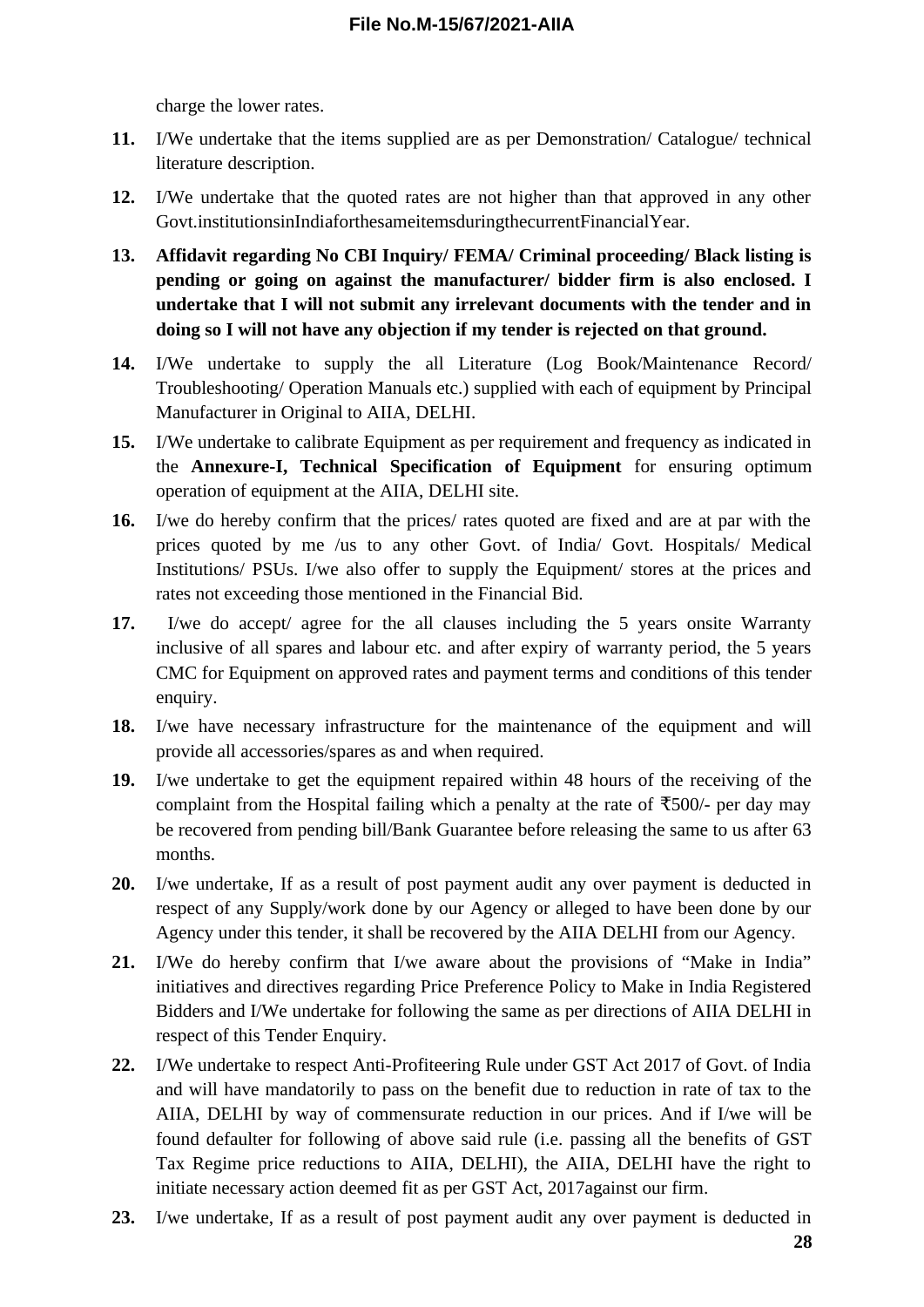charge the lower rates.

- **11.** I/We undertake that the items supplied are as per Demonstration/ Catalogue/ technical literature description.
- **12.** I/We undertake that the quoted rates are not higher than that approved in any other Govt.institutionsinIndiaforthesameitemsduringthecurrentFinancialYear.
- **13. Affidavit regarding No CBI Inquiry/ FEMA/ Criminal proceeding/ Black listing is pending or going on against the manufacturer/ bidder firm is also enclosed. I undertake that I will not submit any irrelevant documents with the tender and in doing so I will not have any objection if my tender is rejected on that ground.**
- **14.** I/We undertake to supply the all Literature (Log Book/Maintenance Record/ Troubleshooting/ Operation Manuals etc.) supplied with each of equipment by Principal Manufacturer in Original to AIIA, DELHI.
- **15.** I/We undertake to calibrate Equipment as per requirement and frequency as indicated in the **Annexure-I, Technical Specification of Equipment** for ensuring optimum operation of equipment at the AIIA, DELHI site.
- **16.** I/we do hereby confirm that the prices/ rates quoted are fixed and are at par with the prices quoted by me /us to any other Govt. of India/ Govt. Hospitals/ Medical Institutions/ PSUs. I/we also offer to supply the Equipment/ stores at the prices and rates not exceeding those mentioned in the Financial Bid.
- **17.** I/we do accept/ agree for the all clauses including the 5 years onsite Warranty inclusive of all spares and labour etc. and after expiry of warranty period, the 5 years CMC for Equipment on approved rates and payment terms and conditions of this tender enquiry.
- **18.** I/we have necessary infrastructure for the maintenance of the equipment and will provide all accessories/spares as and when required.
- **19.** I/we undertake to get the equipment repaired within 48 hours of the receiving of the complaint from the Hospital failing which a penalty at the rate of  $\overline{\text{500}}$ /- per day may be recovered from pending bill/Bank Guarantee before releasing the same to us after 63 months.
- **20.** I/we undertake, If as a result of post payment audit any over payment is deducted in respect of any Supply/work done by our Agency or alleged to have been done by our Agency under this tender, it shall be recovered by the AIIA DELHI from our Agency.
- **21.** I/We do hereby confirm that I/we aware about the provisions of "Make in India" initiatives and directives regarding Price Preference Policy to Make in India Registered Bidders and I/We undertake for following the same as per directions of AIIA DELHI in respect of this Tender Enquiry.
- **22.** I/We undertake to respect Anti-Profiteering Rule under GST Act 2017 of Govt. of India and will have mandatorily to pass on the benefit due to reduction in rate of tax to the AIIA, DELHI by way of commensurate reduction in our prices. And if I/we will be found defaulter for following of above said rule (i.e. passing all the benefits of GST Tax Regime price reductions to AIIA, DELHI), the AIIA, DELHI have the right to initiate necessary action deemed fit as per GST Act, 2017against our firm.
- **23.** I/we undertake, If as a result of post payment audit any over payment is deducted in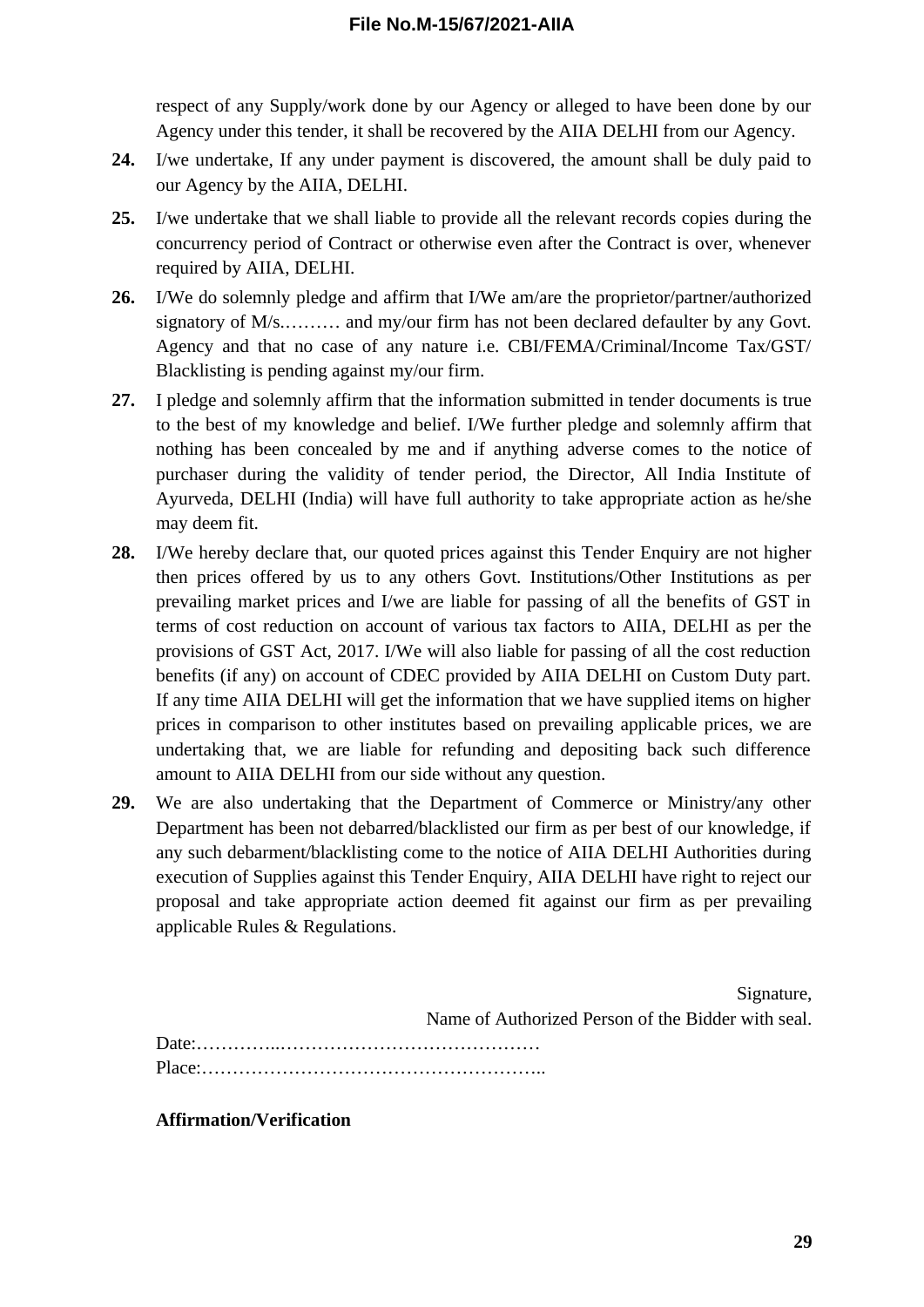respect of any Supply/work done by our Agency or alleged to have been done by our Agency under this tender, it shall be recovered by the AIIA DELHI from our Agency.

- **24.** I/we undertake, If any under payment is discovered, the amount shall be duly paid to our Agency by the AIIA, DELHI.
- **25.** I/we undertake that we shall liable to provide all the relevant records copies during the concurrency period of Contract or otherwise even after the Contract is over, whenever required by AIIA, DELHI.
- **26.** I/We do solemnly pledge and affirm that I/We am/are the proprietor/partner/authorized signatory of M/s.......... and my/our firm has not been declared defaulter by any Govt. Agency and that no case of any nature i.e. CBI/FEMA/Criminal/Income Tax/GST/ Blacklisting is pending against my/our firm.
- **27.** I pledge and solemnly affirm that the information submitted in tender documents is true to the best of my knowledge and belief. I/We further pledge and solemnly affirm that nothing has been concealed by me and if anything adverse comes to the notice of purchaser during the validity of tender period, the Director, All India Institute of Ayurveda, DELHI (India) will have full authority to take appropriate action as he/she may deem fit.
- **28.** I/We hereby declare that, our quoted prices against this Tender Enquiry are not higher then prices offered by us to any others Govt. Institutions/Other Institutions as per prevailing market prices and I/we are liable for passing of all the benefits of GST in terms of cost reduction on account of various tax factors to AIIA, DELHI as per the provisions of GST Act, 2017. I/We will also liable for passing of all the cost reduction benefits (if any) on account of CDEC provided by AIIA DELHI on Custom Duty part. If any time AIIA DELHI will get the information that we have supplied items on higher prices in comparison to other institutes based on prevailing applicable prices, we are undertaking that, we are liable for refunding and depositing back such difference amount to AIIA DELHI from our side without any question.
- **29.** We are also undertaking that the Department of Commerce or Ministry/any other Department has been not debarred/blacklisted our firm as per best of our knowledge, if any such debarment/blacklisting come to the notice of AIIA DELHI Authorities during execution of Supplies against this Tender Enquiry, AIIA DELHI have right to reject our proposal and take appropriate action deemed fit against our firm as per prevailing applicable Rules & Regulations.

Signature, Name of Authorized Person of the Bidder with seal. Date:…………..……………………………………

Place:………………………………………………..

#### **Affirmation/Verification**